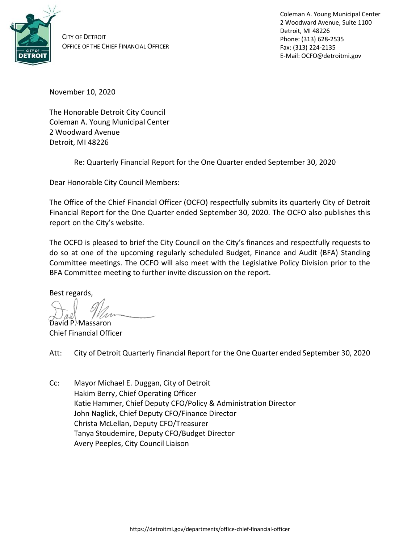

CITY OF DETROIT OFFICE OF THE CHIEF FINANCIAL OFFICER Coleman A. Young Municipal Center 2 Woodward Avenue, Suite 1100 Detroit, MI 48226 Phone: (313) 628-2535 Fax: (313) 224-2135 E-Mail: OCFO@detroitmi.gov

November 10, 2020

The Honorable Detroit City Council Coleman A. Young Municipal Center 2 Woodward Avenue Detroit, MI 48226

Re: Quarterly Financial Report for the One Quarter ended September 30, 2020

Dear Honorable City Council Members:

The Office of the Chief Financial Officer (OCFO) respectfully submits its quarterly City of Detroit Financial Report for the One Quarter ended September 30, 2020. The OCFO also publishes this report on the City's website.

The OCFO is pleased to brief the City Council on the City's finances and respectfully requests to do so at one of the upcoming regularly scheduled Budget, Finance and Audit (BFA) Standing Committee meetings. The OCFO will also meet with the Legislative Policy Division prior to the BFA Committee meeting to further invite discussion on the report.

Best regards,

David P. Massaron

Chief Financial Officer

Att: City of Detroit Quarterly Financial Report for the One Quarter ended September 30, 2020

Cc: Mayor Michael E. Duggan, City of Detroit Hakim Berry, Chief Operating Officer Katie Hammer, Chief Deputy CFO/Policy & Administration Director John Naglick, Chief Deputy CFO/Finance Director Christa McLellan, Deputy CFO/Treasurer Tanya Stoudemire, Deputy CFO/Budget Director Avery Peeples, City Council Liaison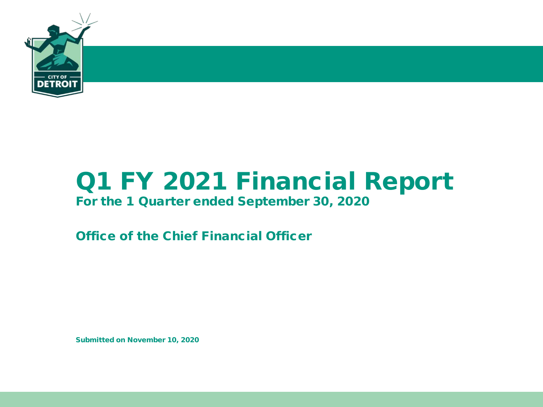

# Q1 FY 2021 Financial Report

### For the 1 Quarter ended September 30, 2020

Office of the Chief Financial Officer

Submitted on November 10, 2020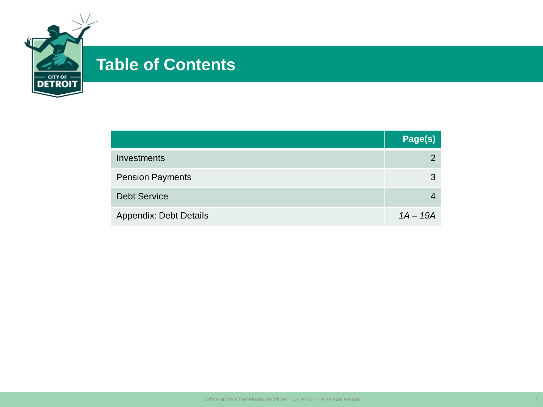

### **Table of Contents**

|                               | Page(s)       |
|-------------------------------|---------------|
| Investments                   | $\mathcal{P}$ |
| <b>Pension Payments</b>       | 3             |
| <b>Debt Service</b>           |               |
| <b>Appendix: Debt Details</b> | $1A - 19A$    |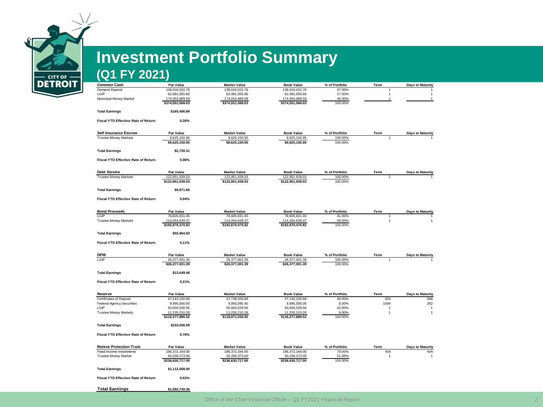

# **Investment Portfolio Summary**

### **(Q1 FY 2021)**

| <b>Common Cash</b>                         | Par Value        | <b>Market Value</b> | <b>Book Value</b> | % of Portfolio | Term           | <b>Days to Maturity</b> |
|--------------------------------------------|------------------|---------------------|-------------------|----------------|----------------|-------------------------|
| <b>Demand Deposit</b>                      | 138,016,022.78   | 138,016,022.78      | 138,016,022.78    | 37.00%         |                |                         |
| LGIP                                       | 62,481,055.66    | 62,481,055.66       | 62,481,055.66     | 17.00%         | $\overline{1}$ | 1                       |
| Municipal Money Market                     | 174,053,989.59   | 174,053,989.59      | 174,053,989.59    | 46.00%         | $\overline{1}$ | 1                       |
|                                            | \$374,551,068.03 | \$374,551,068.03    | \$374,551,068.03  | 100.00%        |                |                         |
| <b>Total Earnings</b>                      | \$165,406.89     |                     |                   |                |                |                         |
| <b>Fiscal YTD Effective Rate of Return</b> | 0.20%            |                     |                   |                |                |                         |
|                                            |                  |                     |                   |                |                |                         |
| <b>Self Insurance Escrow</b>               | Par Value        | <b>Market Value</b> | <b>Book Value</b> | % of Portfolio | Term           | <b>Days to Maturity</b> |
| <b>Trustee Money Markets</b>               | 9,625,150.95     | 9,625,150.95        | 9,625,150.95      | 100.00%        |                |                         |
|                                            | \$9,625,150.95   | \$9,625,150.95      | \$9,625,150.95    | 100.00%        |                |                         |
| <b>Total Earnings</b>                      | \$2,730.31       |                     |                   |                |                |                         |
| <b>Fiscal YTD Effective Rate of Return</b> | 0.06%            |                     |                   |                |                |                         |
| <b>Debt Service</b>                        | Par Value        | <b>Market Value</b> | <b>Book Value</b> | % of Portfolio | Term           | <b>Days to Maturity</b> |
| <b>Trustee Money Markets</b>               | 122,951,939.03   | 122,951,939.03      | 122,951,939.03    | 100.00%        |                |                         |
|                                            | \$122,951,939.03 | \$122,951,939.03    | \$122,951,939.03  | 100.00%        |                |                         |
| <b>Total Earnings</b>                      | \$9,871.66       |                     |                   |                |                |                         |
| <b>Fiscal YTD Effective Rate of Return</b> | 0.04%            |                     |                   |                |                |                         |
|                                            |                  |                     |                   |                |                |                         |
| <b>Bond Proceeds</b>                       | Par Value        | <b>Market Value</b> | <b>Book Value</b> | % of Portfolio | Term           | <b>Days to Maturity</b> |
| LGIP                                       | 78,605,831.45    | 78,605,831.45       | 78,605,831.45     | 41.00%         |                |                         |
| <b>Trustee Money Markets</b>               | 114,264,639.37   | 114,264,639.37      | 114,264,639.37    | 59.00%         | $\overline{1}$ | $\mathbf{1}$            |
|                                            | \$192,870,470.82 | \$192,870,470.82    | \$192,870,470.82  | 100.00%        |                |                         |
| <b>Total Earnings</b>                      | \$55,964.93      |                     |                   |                |                |                         |
| <b>Fiscal YTD Effective Rate of Return</b> | 0.11%            |                     |                   |                |                |                         |
|                                            |                  |                     |                   |                |                |                         |
| <b>DPW</b>                                 | Par Value        | <b>Market Value</b> | <b>Book Value</b> | % of Portfolio | Term           | <b>Days to Maturity</b> |
| LGIP                                       | 26,377,001.39    | 26,377,001.39       | 26,377,001.39     | 100.00%        |                |                         |
|                                            | \$26,377,001.39  | \$26,377,001.39     | \$26,377,001.39   | 100.00%        |                |                         |
| <b>Total Earnings</b>                      | \$13,649.48      |                     |                   |                |                |                         |
| <b>Fiscal YTD Effective Rate of Return</b> | 0.21%            |                     |                   |                |                |                         |
|                                            |                  |                     |                   |                |                |                         |
| Reserve                                    | Par Value        | <b>Market Value</b> | <b>Book Value</b> | % of Portfolio | Term           | <b>Days to Maturity</b> |
| <b>Certificates of Deposit</b>             | 47,143,150.68    | 47,738,200.68       | 47,143,150.68     | 40.00%         | 833            | 588                     |
| <b>Federal Agency Securities</b>           | 9,995,000.00     | 9,993,095.40        | 9,995,000.00      | 8.00%          | 1094           | 262                     |
| LGIP                                       | 50,004,528.56    | 50,004,528.56       | 50,004,528.56     | 42.00%         | $\overline{1}$ | $\overline{1}$          |
| <b>Trustee Money Markets</b>               | 11,235,210.28    | 11,235,210.28       | 11,235,210.28     | 9.00%          | $\overline{1}$ | $\mathbf{1}$            |
|                                            | \$118,377,889.52 | \$118,971,034.92    | \$118,377,889.52  | 100.00%        |                |                         |
| <b>Total Earnings</b>                      | \$233,059.09     |                     |                   |                |                |                         |
| <b>Fiscal YTD Effective Rate of Return</b> | 0.78%            |                     |                   |                |                |                         |
| <b>Retiree Protection Trust</b>            | Par Value        | <b>Market Value</b> | <b>Book Value</b> | % of Portfolio | Term           | <b>Days to Maturity</b> |
| Fixed Income Investments                   | 186,372,344.00   | 186,372,344.00      | 186,372,344.00    | 79.00%         | N/A            | N/A                     |
| <b>Trustee Money Market</b>                | 50,258,373.00    | 50,258,373.00       | 50,258,373.00     | 21.00%         | $\overline{1}$ |                         |
|                                            | \$236,630,717.00 | \$236,630,717.00    | \$236,630,717.00  | 100.00%        |                | 1                       |
|                                            |                  |                     |                   |                |                |                         |
| <b>Total Earnings</b>                      | \$1,112,058.00   |                     |                   |                |                |                         |
| Fiscal YTD Effective Rate of Return        | 0.62%            |                     |                   |                |                |                         |

**Total Earnings \$1,592,740.36**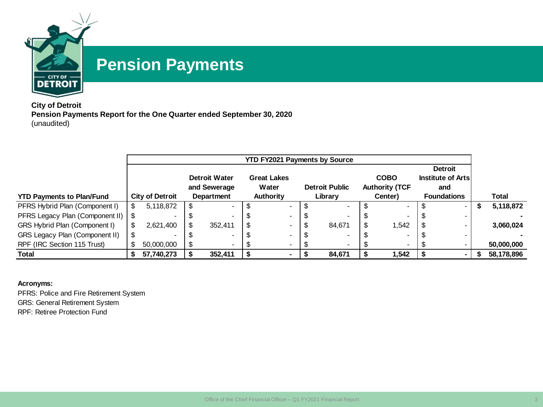

### **Pension Payments**

**City of Detroit Pension Payments Report for the One Quarter ended September 30, 2020** (unaudited)

|                                  |     |                          |                      | <b>YTD FY2021 Payments by Source</b> |                       |                          |                    |              |
|----------------------------------|-----|--------------------------|----------------------|--------------------------------------|-----------------------|--------------------------|--------------------|--------------|
|                                  |     |                          |                      |                                      |                       |                          | <b>Detroit</b>     |              |
|                                  |     |                          | <b>Detroit Water</b> | <b>Great Lakes</b>                   |                       | <b>COBO</b>              | Institute of Arts  |              |
|                                  |     |                          | and Sewerage         | Water                                | <b>Detroit Public</b> | <b>Authority (TCF</b>    | and                |              |
| <b>YTD Payments to Plan/Fund</b> |     | <b>City of Detroit</b>   | Department           | Authority                            | Library               | Center)                  | <b>Foundations</b> | <b>Total</b> |
| PFRS Hybrid Plan (Component I)   | \$. | 5,118,872                |                      |                                      |                       |                          |                    | 5,118,872    |
| PFRS Legacy Plan (Component II)  |     | $\overline{\phantom{0}}$ |                      | -                                    |                       | $\overline{\phantom{a}}$ | $\,$               |              |
| GRS Hybrid Plan (Component I)    |     | 2,621,400                | 352.411              |                                      | 84.671                | 1,542                    |                    | 3,060,024    |
| GRS Legacy Plan (Component II)   |     | $\overline{\phantom{0}}$ |                      |                                      |                       |                          |                    |              |
| RPF (IRC Section 115 Trust)      |     | 50,000,000               |                      | $\overline{\phantom{0}}$             |                       |                          |                    | 50,000,000   |
| <b>Total</b>                     |     | 57,740,273               | 352,411              |                                      | 84,671                | 1,542                    |                    | 58,178,896   |

**Acronyms:**

PFRS: Police and Fire Retirement System GRS: General Retirement System RPF: Retiree Protection Fund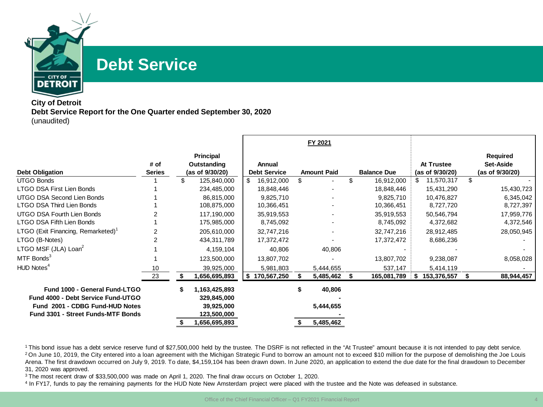

### **Debt Service**

#### **City of Detroit Debt Service Report for the One Quarter ended September 30, 2020** (unaudited)

|                                                |                       |                                                    |                               | FY 2021            |                    |   |                               |    |                                                 |
|------------------------------------------------|-----------------------|----------------------------------------------------|-------------------------------|--------------------|--------------------|---|-------------------------------|----|-------------------------------------------------|
| <b>Debt Obligation</b>                         | # of<br><b>Series</b> | <b>Principal</b><br>Outstanding<br>(as of 9/30/20) | Annual<br><b>Debt Service</b> | <b>Amount Paid</b> | <b>Balance Due</b> |   | At Trustee<br>(as of 9/30/20) |    | <b>Required</b><br>Set-Aside<br>(as of 9/30/20) |
| <b>UTGO Bonds</b>                              |                       | \$<br>125,840,000                                  | \$<br>16,912,000              |                    | \$<br>16,912,000   |   | 11,570,317                    | \$ |                                                 |
| LTGO DSA First Lien Bonds                      |                       | 234,485,000                                        | 18,848,446                    |                    | 18,848,446         |   | 15,431,290                    |    | 15,430,723                                      |
| UTGO DSA Second Lien Bonds                     |                       | 86,815,000                                         | 9,825,710                     |                    | 9,825,710          |   | 10,476,827                    |    | 6,345,042                                       |
| LTGO DSA Third Lien Bonds                      |                       | 108,875,000                                        | 10,366,451                    |                    | 10,366,451         |   | 8,727,720                     |    | 8,727,397                                       |
| UTGO DSA Fourth Lien Bonds                     |                       | 117,190,000                                        | 35,919,553                    |                    | 35,919,553         |   | 50,546,794                    |    | 17,959,776                                      |
| LTGO DSA Fifth Lien Bonds                      |                       | 175,985,000                                        | 8,745,092                     |                    | 8,745,092          |   | 4,372,682                     |    | 4,372,546                                       |
| LTGO (Exit Financing, Remarketed) <sup>1</sup> | 2                     | 205,610,000                                        | 32,747,216                    |                    | 32,747,216         |   | 28,912,485                    |    | 28,050,945                                      |
| LTGO (B-Notes)                                 | 2                     | 434,311,789                                        | 17,372,472                    |                    | 17,372,472         |   | 8,686,236                     |    |                                                 |
| LTGO MSF (JLA) Loan <sup>2</sup>               |                       | 4,159,104                                          | 40,806                        | 40,806             |                    |   |                               |    |                                                 |
| MTF Bonds <sup>3</sup>                         |                       | 123,500,000                                        | 13,807,702                    |                    | 13,807,702         |   | 9,238,087                     |    | 8,058,028                                       |
| HUD Notes <sup>4</sup>                         | 10                    | 39,925,000                                         | 5,981,803                     | 5,444,655          | 537,147            |   | 5,414,119                     |    |                                                 |
|                                                | 23                    | 1,656,695,893                                      | \$170,567,250                 | 5,485,462          | 165,081,789        | S | 153,376,557                   | S  | 88,944,457                                      |
| Fund 1000 - General Fund-LTGO                  |                       | 1,163,425,893                                      |                               | 40,806             |                    |   |                               |    |                                                 |
| Fund 4000 - Debt Service Fund-UTGO             |                       | 329,845,000                                        |                               |                    |                    |   |                               |    |                                                 |
| Fund 2001 - CDBG Fund-HUD Notes                |                       | 39,925,000                                         |                               | 5,444,655          |                    |   |                               |    |                                                 |
| <b>Fund 3301 - Street Funds-MTF Bonds</b>      |                       | 123,500,000                                        |                               |                    |                    |   |                               |    |                                                 |
|                                                |                       | 1,656,695,893                                      |                               | 5,485,462          |                    |   |                               |    |                                                 |

<sup>1</sup>This bond issue has a debt service reserve fund of \$27,500,000 held by the trustee. The DSRF is not reflected in the "At Trustee" amount because it is not intended to pay debt service. <sup>2</sup>On June 10, 2019, the City entered into a loan agreement with the Michigan Strategic Fund to borrow an amount not to exceed \$10 million for the purpose of demolishing the Joe Louis Arena. The first drawdown occurred on July 9, 2019. To date, \$4,159,104 has been drawn down. In June 2020, an application to extend the due date for the final drawdown to December 31, 2020 was approved.

<sup>3</sup> The most recent draw of \$33,500,000 was made on April 1, 2020. The final draw occurs on October 1, 2020.

<sup>4</sup> In FY17, funds to pay the remaining payments for the HUD Note New Amsterdam project were placed with the trustee and the Note was defeased in substance.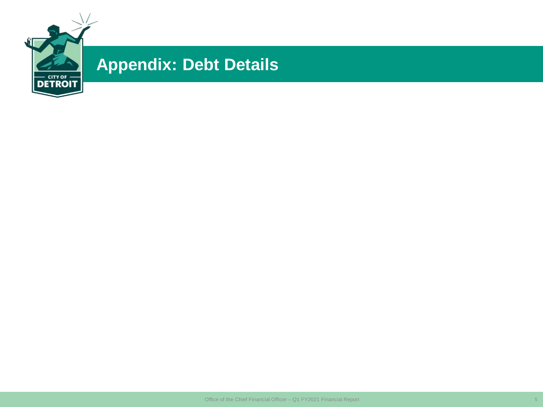

## **Appendix: Debt Details**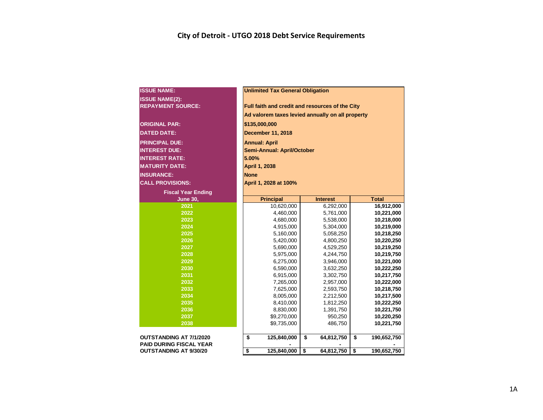| <b>ISSUE NAME:</b>             | <b>Unlimited Tax General Obligation</b>          |                  |                   |  |  |  |  |  |  |  |  |  |
|--------------------------------|--------------------------------------------------|------------------|-------------------|--|--|--|--|--|--|--|--|--|
| <b>ISSUE NAME(2):</b>          |                                                  |                  |                   |  |  |  |  |  |  |  |  |  |
| <b>REPAYMENT SOURCE:</b>       | Full faith and credit and resources of the City  |                  |                   |  |  |  |  |  |  |  |  |  |
|                                | Ad valorem taxes levied annually on all property |                  |                   |  |  |  |  |  |  |  |  |  |
| <b>ORIGINAL PAR:</b>           | \$135,000,000                                    |                  |                   |  |  |  |  |  |  |  |  |  |
| <b>DATED DATE:</b>             | <b>December 11, 2018</b>                         |                  |                   |  |  |  |  |  |  |  |  |  |
|                                |                                                  |                  |                   |  |  |  |  |  |  |  |  |  |
| <b>PRINCIPAL DUE:</b>          | <b>Annual: April</b>                             |                  |                   |  |  |  |  |  |  |  |  |  |
| <b>INTEREST DUE:</b>           | <b>Semi-Annual: April/October</b>                |                  |                   |  |  |  |  |  |  |  |  |  |
| <b>INTEREST RATE:</b>          | 5.00%                                            |                  |                   |  |  |  |  |  |  |  |  |  |
| <b>MATURITY DATE:</b>          | <b>April 1, 2038</b>                             |                  |                   |  |  |  |  |  |  |  |  |  |
| <b>INSURANCE:</b>              | <b>None</b>                                      |                  |                   |  |  |  |  |  |  |  |  |  |
| <b>CALL PROVISIONS:</b>        | April 1, 2028 at 100%                            |                  |                   |  |  |  |  |  |  |  |  |  |
| <b>Fiscal Year Ending</b>      |                                                  |                  |                   |  |  |  |  |  |  |  |  |  |
| <b>June 30,</b>                | <b>Principal</b>                                 | <b>Interest</b>  | <b>Total</b>      |  |  |  |  |  |  |  |  |  |
| 2021                           | 10,620,000                                       | 6,292,000        | 16,912,000        |  |  |  |  |  |  |  |  |  |
| 2022                           | 4,460,000                                        | 5,761,000        | 10,221,000        |  |  |  |  |  |  |  |  |  |
| 2023                           | 4,680,000                                        | 5,538,000        | 10,218,000        |  |  |  |  |  |  |  |  |  |
| 2024                           | 4,915,000                                        | 5,304,000        | 10,219,000        |  |  |  |  |  |  |  |  |  |
| 2025                           | 5,160,000                                        | 5,058,250        | 10,218,250        |  |  |  |  |  |  |  |  |  |
| 2026                           | 5,420,000                                        | 4,800,250        | 10,220,250        |  |  |  |  |  |  |  |  |  |
| 2027                           | 5,690,000                                        | 4,529,250        | 10,219,250        |  |  |  |  |  |  |  |  |  |
| 2028                           | 5,975,000                                        | 4,244,750        | 10,219,750        |  |  |  |  |  |  |  |  |  |
| 2029                           | 6,275,000                                        | 3,946,000        | 10,221,000        |  |  |  |  |  |  |  |  |  |
| 2030                           | 6,590,000                                        | 3,632,250        | 10,222,250        |  |  |  |  |  |  |  |  |  |
| 2031                           | 6,915,000                                        | 3,302,750        | 10,217,750        |  |  |  |  |  |  |  |  |  |
| 2032                           | 7,265,000                                        | 2,957,000        | 10,222,000        |  |  |  |  |  |  |  |  |  |
| 2033                           | 7,625,000                                        | 2,593,750        | 10,218,750        |  |  |  |  |  |  |  |  |  |
| 2034                           | 8,005,000                                        | 2,212,500        | 10,217,500        |  |  |  |  |  |  |  |  |  |
| 2035                           | 8,410,000                                        | 1,812,250        | 10,222,250        |  |  |  |  |  |  |  |  |  |
| 2036                           | 8,830,000                                        | 1,391,750        | 10,221,750        |  |  |  |  |  |  |  |  |  |
| 2037                           | \$9,270,000                                      | 950,250          | 10,220,250        |  |  |  |  |  |  |  |  |  |
| 2038                           | \$9,735,000                                      | 486,750          | 10,221,750        |  |  |  |  |  |  |  |  |  |
|                                |                                                  |                  |                   |  |  |  |  |  |  |  |  |  |
| OUTSTANDING AT 7/1/2020        | \$<br>125,840,000                                | \$<br>64,812,750 | \$<br>190,652,750 |  |  |  |  |  |  |  |  |  |
| <b>PAID DURING FISCAL YEAR</b> |                                                  |                  |                   |  |  |  |  |  |  |  |  |  |
| <b>OUTSTANDING AT 9/30/20</b>  | \$<br>125,840,000                                | \$<br>64,812,750 | \$<br>190,652,750 |  |  |  |  |  |  |  |  |  |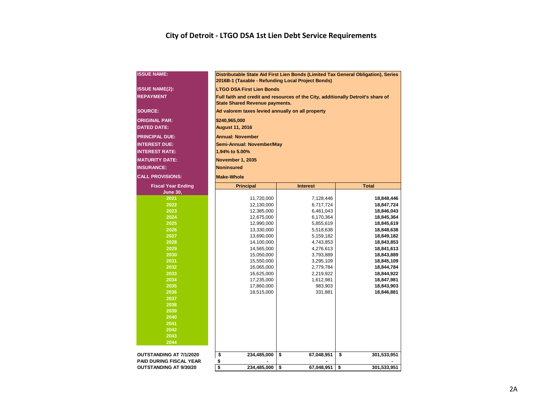#### **City of Detroit - LTGO DSA 1st Lien Debt Service Requirements**

| <b>ISSUE NAME:</b>             |                        | 2016B-1 (Taxable - Refunding Local Project Bonds)                                                                         |    | Distributable State Aid First Lien Bonds (Limited Tax General Obligation), Series |    |                          |  |  |  |  |  |  |  |  |
|--------------------------------|------------------------|---------------------------------------------------------------------------------------------------------------------------|----|-----------------------------------------------------------------------------------|----|--------------------------|--|--|--|--|--|--|--|--|
| <b>ISSUE NAME(2):</b>          |                        | <b>LTGO DSA First Lien Bonds</b>                                                                                          |    |                                                                                   |    |                          |  |  |  |  |  |  |  |  |
| <b>REPAYMENT</b>               |                        | Full faith and credit and resources of the City, additionally Detroit's share of<br><b>State Shared Revenue payments.</b> |    |                                                                                   |    |                          |  |  |  |  |  |  |  |  |
| <b>SOURCE:</b>                 |                        | Ad valorem taxes levied annually on all property                                                                          |    |                                                                                   |    |                          |  |  |  |  |  |  |  |  |
| <b>ORIGINAL PAR:</b>           |                        | \$240,965,000                                                                                                             |    |                                                                                   |    |                          |  |  |  |  |  |  |  |  |
| <b>DATED DATE:</b>             | <b>August 11, 2016</b> |                                                                                                                           |    |                                                                                   |    |                          |  |  |  |  |  |  |  |  |
| <b>PRINCIPAL DUE:</b>          |                        | <b>Annual: November</b>                                                                                                   |    |                                                                                   |    |                          |  |  |  |  |  |  |  |  |
| <b>INTEREST DUE:</b>           |                        | Semi-Annual: November/May                                                                                                 |    |                                                                                   |    |                          |  |  |  |  |  |  |  |  |
| <b>INTEREST RATE:</b>          |                        | 1.94% to 5.00%                                                                                                            |    |                                                                                   |    |                          |  |  |  |  |  |  |  |  |
| <b>MATURITY DATE:</b>          |                        | <b>November 1, 2035</b>                                                                                                   |    |                                                                                   |    |                          |  |  |  |  |  |  |  |  |
| <b>INSURANCE:</b>              |                        | <b>Noninsured</b>                                                                                                         |    |                                                                                   |    |                          |  |  |  |  |  |  |  |  |
| <b>CALL PROVISIONS:</b>        | <b>Make-Whole</b>      |                                                                                                                           |    |                                                                                   |    |                          |  |  |  |  |  |  |  |  |
| <b>Fiscal Year Ending</b>      |                        | <b>Principal</b>                                                                                                          |    | <b>Interest</b>                                                                   |    | <b>Total</b>             |  |  |  |  |  |  |  |  |
| <b>June 30,</b>                |                        |                                                                                                                           |    |                                                                                   |    |                          |  |  |  |  |  |  |  |  |
| 2021                           |                        | 11,720,000                                                                                                                |    | 7,128,446                                                                         |    | 18,848,446               |  |  |  |  |  |  |  |  |
| 2022                           |                        | 12,130,000                                                                                                                |    | 6,717,724                                                                         |    | 18,847,724               |  |  |  |  |  |  |  |  |
| 2023                           |                        | 12,385,000                                                                                                                |    | 6,461,043                                                                         |    | 18,846,043               |  |  |  |  |  |  |  |  |
| 2024                           |                        | 12,675,000                                                                                                                |    | 6,170,364                                                                         |    | 18,845,364               |  |  |  |  |  |  |  |  |
| 2025                           |                        | 12,990,000                                                                                                                |    | 5,855,619                                                                         |    | 18,845,619               |  |  |  |  |  |  |  |  |
| 2026                           |                        | 13,330,000                                                                                                                |    | 5,518,638                                                                         |    | 18,848,638               |  |  |  |  |  |  |  |  |
| 2027                           |                        | 13,690,000                                                                                                                |    | 5,159,182                                                                         |    | 18,849,182               |  |  |  |  |  |  |  |  |
| 2028<br>2029                   |                        | 14,100,000                                                                                                                |    | 4,743,853                                                                         |    | 18,843,853               |  |  |  |  |  |  |  |  |
| 2030                           |                        | 14,565,000<br>15,050,000                                                                                                  |    | 4,276,613<br>3,793,889                                                            |    | 18,841,613<br>18,843,889 |  |  |  |  |  |  |  |  |
| 2031                           |                        | 15,550,000                                                                                                                |    | 3,295,109                                                                         |    | 18,845,109               |  |  |  |  |  |  |  |  |
| 2032                           |                        | 16,065,000                                                                                                                |    | 2,779,784                                                                         |    | 18,844,784               |  |  |  |  |  |  |  |  |
| 2033                           |                        | 16,625,000                                                                                                                |    | 2,219,922                                                                         |    | 18,844,922               |  |  |  |  |  |  |  |  |
| 2034                           |                        | 17,235,000                                                                                                                |    | 1,612,981                                                                         |    | 18,847,981               |  |  |  |  |  |  |  |  |
| 2035                           |                        | 17,860,000                                                                                                                |    | 983,903                                                                           |    | 18,843,903               |  |  |  |  |  |  |  |  |
| 2036                           |                        | 18,515,000                                                                                                                |    | 331,881                                                                           |    | 18,846,881               |  |  |  |  |  |  |  |  |
| 2037                           |                        |                                                                                                                           |    |                                                                                   |    |                          |  |  |  |  |  |  |  |  |
| 2038                           |                        |                                                                                                                           |    |                                                                                   |    |                          |  |  |  |  |  |  |  |  |
| 2039                           |                        |                                                                                                                           |    |                                                                                   |    |                          |  |  |  |  |  |  |  |  |
| 2040<br>2041                   |                        |                                                                                                                           |    |                                                                                   |    |                          |  |  |  |  |  |  |  |  |
| 2042                           |                        |                                                                                                                           |    |                                                                                   |    |                          |  |  |  |  |  |  |  |  |
| 2043                           |                        |                                                                                                                           |    |                                                                                   |    |                          |  |  |  |  |  |  |  |  |
| 2044                           |                        |                                                                                                                           |    |                                                                                   |    |                          |  |  |  |  |  |  |  |  |
| OUTSTANDING AT 7/1/2020        | \$                     | 234,485,000                                                                                                               | \$ | 67,048,951                                                                        | \$ | 301,533,951              |  |  |  |  |  |  |  |  |
| <b>PAID DURING FISCAL YEAR</b> | \$                     |                                                                                                                           |    |                                                                                   |    |                          |  |  |  |  |  |  |  |  |
| <b>OUTSTANDING AT 9/30/20</b>  | \$                     | 234,485,000                                                                                                               | \$ | 67,048,951                                                                        | \$ | 301,533,951              |  |  |  |  |  |  |  |  |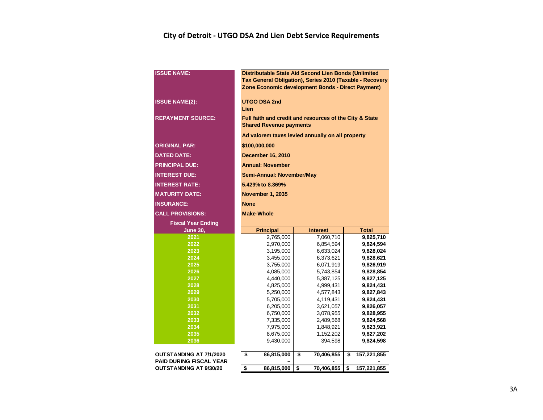#### **City of Detroit - UTGO DSA 2nd Lien Debt Service Requirements**

| <b>ISSUE NAME:</b>                                               | Distributable State Aid Second Lien Bonds (Unlimited<br>Tax General Obligation), Series 2010 (Taxable - Recovery<br>Zone Economic development Bonds - Direct Payment) |                        |                        |  |  |  |  |  |  |  |  |  |  |  |
|------------------------------------------------------------------|-----------------------------------------------------------------------------------------------------------------------------------------------------------------------|------------------------|------------------------|--|--|--|--|--|--|--|--|--|--|--|
| <b>ISSUE NAME(2):</b>                                            | <b>UTGO DSA 2nd</b><br>Lien                                                                                                                                           |                        |                        |  |  |  |  |  |  |  |  |  |  |  |
| <b>REPAYMENT SOURCE:</b>                                         | Full faith and credit and resources of the City & State<br><b>Shared Revenue payments</b>                                                                             |                        |                        |  |  |  |  |  |  |  |  |  |  |  |
|                                                                  | Ad valorem taxes levied annually on all property                                                                                                                      |                        |                        |  |  |  |  |  |  |  |  |  |  |  |
| <b>ORIGINAL PAR:</b>                                             | \$100,000,000                                                                                                                                                         |                        |                        |  |  |  |  |  |  |  |  |  |  |  |
| <b>DATED DATE:</b>                                               | <b>December 16, 2010</b>                                                                                                                                              |                        |                        |  |  |  |  |  |  |  |  |  |  |  |
| <b>PRINCIPAL DUE:</b>                                            | <b>Annual: November</b>                                                                                                                                               |                        |                        |  |  |  |  |  |  |  |  |  |  |  |
| <b>INTEREST DUE:</b>                                             | <b>Semi-Annual: November/May</b>                                                                                                                                      |                        |                        |  |  |  |  |  |  |  |  |  |  |  |
| <b>INTEREST RATE:</b>                                            | 5.429% to 8.369%                                                                                                                                                      |                        |                        |  |  |  |  |  |  |  |  |  |  |  |
| <b>MATURITY DATE:</b>                                            | <b>November 1, 2035</b>                                                                                                                                               |                        |                        |  |  |  |  |  |  |  |  |  |  |  |
| <b>INSURANCE:</b>                                                | <b>None</b>                                                                                                                                                           |                        |                        |  |  |  |  |  |  |  |  |  |  |  |
| <b>CALL PROVISIONS:</b>                                          | <b>Make-Whole</b>                                                                                                                                                     |                        |                        |  |  |  |  |  |  |  |  |  |  |  |
| <b>Fiscal Year Ending</b>                                        |                                                                                                                                                                       |                        |                        |  |  |  |  |  |  |  |  |  |  |  |
| <b>June 30,</b>                                                  | <b>Principal</b><br><b>Total</b><br><b>Interest</b>                                                                                                                   |                        |                        |  |  |  |  |  |  |  |  |  |  |  |
| 2021                                                             | 2,765,000                                                                                                                                                             | 7,060,710              | 9,825,710              |  |  |  |  |  |  |  |  |  |  |  |
|                                                                  |                                                                                                                                                                       |                        |                        |  |  |  |  |  |  |  |  |  |  |  |
| 2022                                                             | 2,970,000                                                                                                                                                             | 6,854,594              | 9,824,594              |  |  |  |  |  |  |  |  |  |  |  |
| 2023                                                             | 3,195,000                                                                                                                                                             | 6,633,024              | 9,828,024              |  |  |  |  |  |  |  |  |  |  |  |
| 2024                                                             | 3,455,000                                                                                                                                                             | 6,373,621              | 9,828,621              |  |  |  |  |  |  |  |  |  |  |  |
| 2025                                                             | 3,755,000                                                                                                                                                             | 6,071,919              | 9,826,919              |  |  |  |  |  |  |  |  |  |  |  |
| 2026                                                             | 4,085,000                                                                                                                                                             | 5,743,854              | 9,828,854              |  |  |  |  |  |  |  |  |  |  |  |
| 2027<br>2028                                                     | 4,440,000                                                                                                                                                             | 5,387,125              | 9,827,125              |  |  |  |  |  |  |  |  |  |  |  |
| 2029                                                             | 4,825,000                                                                                                                                                             | 4,999,431              | 9,824,431              |  |  |  |  |  |  |  |  |  |  |  |
| $\overline{2030}$                                                | 5,250,000<br>5,705,000                                                                                                                                                | 4,577,843<br>4,119,431 | 9,827,843<br>9,824,431 |  |  |  |  |  |  |  |  |  |  |  |
| 2031                                                             | 6,205,000                                                                                                                                                             | 3,621,057              | 9,826,057              |  |  |  |  |  |  |  |  |  |  |  |
| 2032                                                             | 6,750,000                                                                                                                                                             | 3,078,955              | 9,828,955              |  |  |  |  |  |  |  |  |  |  |  |
| 2033                                                             | 7,335,000                                                                                                                                                             | 2,489,568              | 9,824,568              |  |  |  |  |  |  |  |  |  |  |  |
| 2034                                                             | 7,975,000                                                                                                                                                             | 1,848,921              | 9,823,921              |  |  |  |  |  |  |  |  |  |  |  |
| 2035                                                             | 8,675,000                                                                                                                                                             | 1,152,202              | 9,827,202              |  |  |  |  |  |  |  |  |  |  |  |
| 2036                                                             | 9,430,000                                                                                                                                                             | 394,598                | 9,824,598              |  |  |  |  |  |  |  |  |  |  |  |
|                                                                  |                                                                                                                                                                       |                        |                        |  |  |  |  |  |  |  |  |  |  |  |
| <b>OUTSTANDING AT 7/1/2020</b><br><b>PAID DURING FISCAL YEAR</b> | \$<br>86,815,000                                                                                                                                                      | 70,406,855<br>\$       | \$<br>157,221,855      |  |  |  |  |  |  |  |  |  |  |  |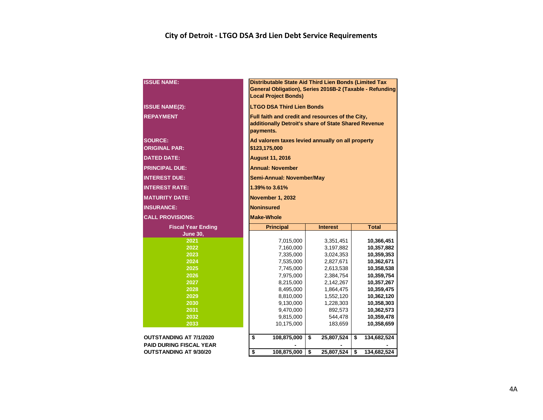#### **City of Detroit - LTGO DSA 3rd Lien Debt Service Requirements**

| <b>ISSUE NAME:</b>                     | Distributable State Aid Third Lien Bonds (Limited Tax<br>General Obligation), Series 2016B-2 (Taxable - Refunding<br><b>Local Project Bonds)</b> |                        |                          |  |  |  |  |  |  |  |  |  |  |
|----------------------------------------|--------------------------------------------------------------------------------------------------------------------------------------------------|------------------------|--------------------------|--|--|--|--|--|--|--|--|--|--|
| <b>ISSUE NAME(2):</b>                  | <b>LTGO DSA Third Lien Bonds</b>                                                                                                                 |                        |                          |  |  |  |  |  |  |  |  |  |  |
| <b>REPAYMENT</b>                       | Full faith and credit and resources of the City,<br>additionally Detroit's share of State Shared Revenue<br>payments.                            |                        |                          |  |  |  |  |  |  |  |  |  |  |
| <b>SOURCE:</b><br><b>ORIGINAL PAR:</b> | Ad valorem taxes levied annually on all property<br>\$123,175,000                                                                                |                        |                          |  |  |  |  |  |  |  |  |  |  |
| <b>DATED DATE:</b>                     | <b>August 11, 2016</b>                                                                                                                           |                        |                          |  |  |  |  |  |  |  |  |  |  |
| <b>PRINCIPAL DUE:</b>                  | <b>Annual: November</b>                                                                                                                          |                        |                          |  |  |  |  |  |  |  |  |  |  |
| <b>INTEREST DUE:</b>                   | Semi-Annual: November/May                                                                                                                        |                        |                          |  |  |  |  |  |  |  |  |  |  |
| <b>INTEREST RATE:</b>                  | 1.39% to 3.61%                                                                                                                                   |                        |                          |  |  |  |  |  |  |  |  |  |  |
| <b>MATURITY DATE:</b>                  | November 1, 2032                                                                                                                                 |                        |                          |  |  |  |  |  |  |  |  |  |  |
| <b>INSURANCE:</b>                      | <b>Noninsured</b>                                                                                                                                |                        |                          |  |  |  |  |  |  |  |  |  |  |
| <b>CALL PROVISIONS:</b>                | <b>Make-Whole</b>                                                                                                                                |                        |                          |  |  |  |  |  |  |  |  |  |  |
| <b>Fiscal Year Ending</b>              | <b>Principal</b>                                                                                                                                 | <b>Interest</b>        | <b>Total</b>             |  |  |  |  |  |  |  |  |  |  |
| <b>June 30,</b>                        |                                                                                                                                                  |                        |                          |  |  |  |  |  |  |  |  |  |  |
| 2021                                   | 7,015,000                                                                                                                                        | 3,351,451              | 10,366,451               |  |  |  |  |  |  |  |  |  |  |
| 2022                                   | 7,160,000                                                                                                                                        | 3,197,882              | 10,357,882               |  |  |  |  |  |  |  |  |  |  |
| 2023                                   | 7,335,000                                                                                                                                        | 3,024,353              | 10,359,353               |  |  |  |  |  |  |  |  |  |  |
| 2024<br>2025                           | 7,535,000                                                                                                                                        | 2,827,671              | 10,362,671               |  |  |  |  |  |  |  |  |  |  |
| 2026                                   | 7,745,000<br>7,975,000                                                                                                                           | 2,613,538<br>2,384,754 | 10,358,538<br>10,359,754 |  |  |  |  |  |  |  |  |  |  |
| 2027                                   | 8,215,000                                                                                                                                        | 2,142,267              | 10,357,267               |  |  |  |  |  |  |  |  |  |  |
| 2028                                   | 8,495,000                                                                                                                                        | 1,864,475              | 10,359,475               |  |  |  |  |  |  |  |  |  |  |
| 2029                                   | 8,810,000                                                                                                                                        | 1,552,120              | 10,362,120               |  |  |  |  |  |  |  |  |  |  |
| 2030                                   | 9,130,000                                                                                                                                        | 1,228,303              | 10,358,303               |  |  |  |  |  |  |  |  |  |  |
| 2031                                   | 9,470,000                                                                                                                                        | 892,573                | 10,362,573               |  |  |  |  |  |  |  |  |  |  |
| 2032                                   | 9,815,000                                                                                                                                        | 544,478                | 10,359,478               |  |  |  |  |  |  |  |  |  |  |
| 2033                                   | 10,175,000<br>183,659<br>10,358,659                                                                                                              |                        |                          |  |  |  |  |  |  |  |  |  |  |
| <b>OUTSTANDING AT 7/1/2020</b>         | \$<br>\$<br>25,807,524<br>108,875,000<br>\$<br>134,682,524                                                                                       |                        |                          |  |  |  |  |  |  |  |  |  |  |
| <b>PAID DURING FISCAL YEAR</b>         |                                                                                                                                                  |                        |                          |  |  |  |  |  |  |  |  |  |  |
| <b>OUTSTANDING AT 9/30/20</b>          | \$<br>108,875,000                                                                                                                                | \$<br>25,807,524       | \$<br>134,682,524        |  |  |  |  |  |  |  |  |  |  |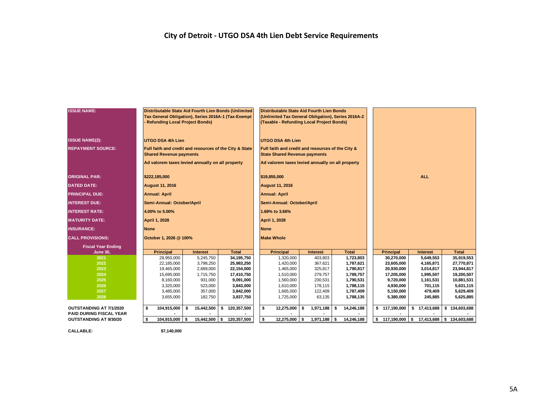#### **City of Detroit - UTGO DSA 4th Lien Debt Service Requirements**

| <b>ISSUE NAME:</b>             | Distributable State Aid Fourth Lien Bonds (Unlimited<br>Tax General Obligation), Series 2016A-1 (Tax-Exempt<br>Refunding Local Project Bonds) |                    |                        | Distributable State Aid Fourth Lien Bonds<br>(Unlimited Tax General Obligation), Series 2016A-2<br>(Taxable - Refunding Local Project Bonds) |                   |      |                        |    |                        |                    |                          |
|--------------------------------|-----------------------------------------------------------------------------------------------------------------------------------------------|--------------------|------------------------|----------------------------------------------------------------------------------------------------------------------------------------------|-------------------|------|------------------------|----|------------------------|--------------------|--------------------------|
| <b>ISSUE NAME(2):</b>          | <b>UTGO DSA 4th Lien</b>                                                                                                                      |                    |                        | <b>UTGO DSA 4th Lien</b>                                                                                                                     |                   |      |                        |    |                        |                    |                          |
| <b>REPAYMENT SOURCE:</b>       | Full faith and credit and resources of the City & State                                                                                       |                    |                        | Full faith and credit and resources of the City &                                                                                            |                   |      |                        |    |                        |                    |                          |
|                                | <b>Shared Revenue payments</b>                                                                                                                |                    |                        | <b>State Shared Revenue payments</b>                                                                                                         |                   |      |                        |    |                        |                    |                          |
|                                | Ad valorem taxes levied annually on all property                                                                                              |                    |                        | Ad valorem taxes levied annually on all property                                                                                             |                   |      |                        |    |                        |                    |                          |
| <b>ORIGINAL PAR:</b>           | \$222,185,000                                                                                                                                 |                    |                        | \$19,855,000                                                                                                                                 |                   |      |                        |    |                        | <b>ALL</b>         |                          |
| <b>DATED DATE:</b>             | <b>August 11, 2016</b>                                                                                                                        |                    |                        | <b>August 11, 2016</b>                                                                                                                       |                   |      |                        |    |                        |                    |                          |
| <b>PRINCIPAL DUE:</b>          | <b>Annual: April</b>                                                                                                                          |                    |                        | <b>Annual: April</b>                                                                                                                         |                   |      |                        |    |                        |                    |                          |
| <b>INTEREST DUE:</b>           | Semi-Annual: October/April                                                                                                                    |                    |                        | Semi-Annual: October/April                                                                                                                   |                   |      |                        |    |                        |                    |                          |
| <b>INTEREST RATE:</b>          | 4.00% to 5.00%                                                                                                                                |                    |                        | 1.69% to 3.66%                                                                                                                               |                   |      |                        |    |                        |                    |                          |
| <b>MATURITY DATE:</b>          | <b>April 1, 2028</b>                                                                                                                          |                    |                        | <b>April 1, 2028</b>                                                                                                                         |                   |      |                        |    |                        |                    |                          |
| <b>INSURANCE:</b>              | None                                                                                                                                          |                    |                        | <b>None</b>                                                                                                                                  |                   |      |                        |    |                        |                    |                          |
| <b>CALL PROVISIONS:</b>        | October 1, 2026 @ 100%                                                                                                                        |                    |                        | <b>Make Whole</b>                                                                                                                            |                   |      |                        |    |                        |                    |                          |
| <b>Fiscal Year Ending</b>      |                                                                                                                                               |                    |                        |                                                                                                                                              |                   |      |                        |    |                        |                    |                          |
| <b>June 30,</b>                | <b>Principal</b>                                                                                                                              | <b>Interest</b>    | <b>Total</b>           | <b>Principal</b>                                                                                                                             | Interest          |      | <b>Total</b>           |    | <b>Principal</b>       | <b>Interest</b>    | <b>Total</b>             |
| 2021                           | 28,950,000                                                                                                                                    | 5,245,750          | 34,195,750             | 1,320,000                                                                                                                                    | 403,803           |      | 1,723,803              |    | 30,270,000             | 5,649,553          | 35,919,553               |
| 2022                           | 22,185,000                                                                                                                                    | 3,798,250          | 25,983,250             | 1,420,000                                                                                                                                    | 367,621           |      | 1,787,621              |    | 23,605,000             | 4,165,871          | 27,770,871               |
| 2023                           | 19,465,000                                                                                                                                    | 2,689,000          | 22,154,000             | 1,465,000                                                                                                                                    | 325,817           |      | 1,790,817              |    | 20,930,000             | 3,014,817          | 23,944,817               |
| 2024                           | 15,695,000                                                                                                                                    | 1,715,750          | 17,410,750             | 1,510,000                                                                                                                                    | 279,757           |      | 1,789,757              |    | 17,205,000             | 1,995,507          | 19,200,507               |
| 2025                           | 8,160,000                                                                                                                                     | 931,000            | 9,091,000              | 1,560,000                                                                                                                                    | 230,531           |      | 1,790,531              |    | 9,720,000              | 1,161,531          | 10,881,531               |
| 2026                           | 3,320,000                                                                                                                                     | 523,000            | 3,843,000              | 1,610,000                                                                                                                                    | 178,115           |      | 1,788,115              |    | 4,930,000              | 701,115            | 5,631,115                |
| 2027<br>2028                   | 3,485,000<br>3,655,000                                                                                                                        | 357,000<br>182,750 | 3,842,000<br>3,837,750 | 1,665,000<br>1,725,000                                                                                                                       | 122,409<br>63,135 |      | 1,787,409<br>1,788,135 |    | 5,150,000<br>5,380,000 | 479,409<br>245,885 | 5,629,409<br>5,625,885   |
|                                |                                                                                                                                               |                    |                        |                                                                                                                                              |                   |      |                        |    |                        |                    |                          |
| <b>OUTSTANDING AT 7/1/2020</b> | 104,915,000<br>\$                                                                                                                             | 15,442,500<br>- \$ | 120,357,500<br>s.      | \$<br>12,275,000                                                                                                                             | \$<br>1,971,188   | - \$ | 14,246,188             |    | \$117,190,000          | \$17,413,688       | \$134,603,688            |
| <b>PAID DURING FISCAL YEAR</b> |                                                                                                                                               |                    |                        |                                                                                                                                              |                   |      |                        |    |                        |                    |                          |
| <b>OUTSTANDING AT 9/30/20</b>  | 104,915,000 \$<br>s.                                                                                                                          | 15,442,500 \$      | 120,357,500            | \$<br>$12,275,000$ \$                                                                                                                        | $1,971,188$ \$    |      | 14,246,188             | s. | 117,190,000 \$         |                    | 17,413,688 \$134,603,688 |
|                                |                                                                                                                                               |                    |                        |                                                                                                                                              |                   |      |                        |    |                        |                    |                          |

**CALLABLE: \$7,140,000**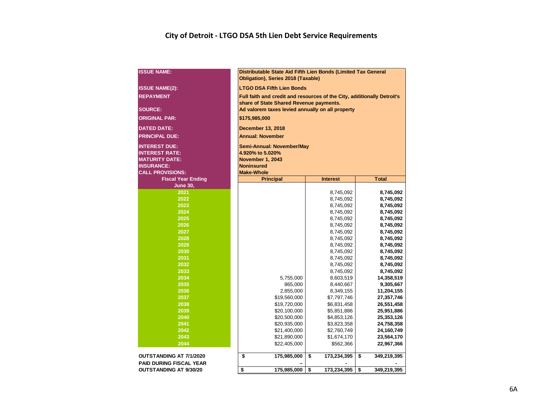#### **City of Detroit - LTGO DSA 5th Lien Debt Service Requirements**

| <b>ISSUE NAME:</b>             | Distributable State Aid Fifth Lien Bonds (Limited Tax General<br><b>Obligation), Series 2018 (Taxable)</b> |                   |                   |  |  |  |  |  |  |  |  |  |  |
|--------------------------------|------------------------------------------------------------------------------------------------------------|-------------------|-------------------|--|--|--|--|--|--|--|--|--|--|
| <b>ISSUE NAME(2):</b>          | <b>LTGO DSA Fifth Lien Bonds</b>                                                                           |                   |                   |  |  |  |  |  |  |  |  |  |  |
| <b>REPAYMENT</b>               | Full faith and credit and resources of the City, additionally Detroit's                                    |                   |                   |  |  |  |  |  |  |  |  |  |  |
| <b>SOURCE:</b>                 | share of State Shared Revenue payments.<br>Ad valorem taxes levied annually on all property                |                   |                   |  |  |  |  |  |  |  |  |  |  |
| <b>ORIGINAL PAR:</b>           | \$175,985,000                                                                                              |                   |                   |  |  |  |  |  |  |  |  |  |  |
| <b>DATED DATE:</b>             | <b>December 13, 2018</b>                                                                                   |                   |                   |  |  |  |  |  |  |  |  |  |  |
| <b>PRINCIPAL DUE:</b>          | <b>Annual: November</b>                                                                                    |                   |                   |  |  |  |  |  |  |  |  |  |  |
| <b>INTEREST DUE:</b>           | Semi-Annual: November/May                                                                                  |                   |                   |  |  |  |  |  |  |  |  |  |  |
| <b>INTEREST RATE:</b>          | 4.920% to 5.020%                                                                                           |                   |                   |  |  |  |  |  |  |  |  |  |  |
| <b>MATURITY DATE:</b>          | <b>November 1, 2043</b>                                                                                    |                   |                   |  |  |  |  |  |  |  |  |  |  |
| <b>INSURANCE:</b>              | <b>Noninsured</b>                                                                                          |                   |                   |  |  |  |  |  |  |  |  |  |  |
| <b>CALL PROVISIONS:</b>        | <b>Make-Whole</b>                                                                                          |                   |                   |  |  |  |  |  |  |  |  |  |  |
| <b>Fiscal Year Ending</b>      | <b>Principal</b>                                                                                           | <b>Interest</b>   | <b>Total</b>      |  |  |  |  |  |  |  |  |  |  |
| <b>June 30,</b>                |                                                                                                            |                   |                   |  |  |  |  |  |  |  |  |  |  |
| 2021                           |                                                                                                            | 8,745,092         | 8,745,092         |  |  |  |  |  |  |  |  |  |  |
| 2022                           |                                                                                                            | 8,745,092         | 8,745,092         |  |  |  |  |  |  |  |  |  |  |
| 2023                           |                                                                                                            |                   |                   |  |  |  |  |  |  |  |  |  |  |
| 2024                           | 8,745,092<br>8,745,092                                                                                     |                   |                   |  |  |  |  |  |  |  |  |  |  |
| 2025                           | 8,745,092<br>8,745,092                                                                                     |                   |                   |  |  |  |  |  |  |  |  |  |  |
| $\overline{2026}$              |                                                                                                            | 8,745,092         | 8,745,092         |  |  |  |  |  |  |  |  |  |  |
| 2027                           |                                                                                                            | 8,745,092         | 8,745,092         |  |  |  |  |  |  |  |  |  |  |
| 2028                           |                                                                                                            | 8,745,092         | 8,745,092         |  |  |  |  |  |  |  |  |  |  |
| 2029                           |                                                                                                            | 8,745,092         | 8,745,092         |  |  |  |  |  |  |  |  |  |  |
|                                |                                                                                                            | 8,745,092         | 8,745,092         |  |  |  |  |  |  |  |  |  |  |
| 2030                           |                                                                                                            | 8,745,092         | 8,745,092         |  |  |  |  |  |  |  |  |  |  |
| 2031                           |                                                                                                            | 8,745,092         | 8,745,092         |  |  |  |  |  |  |  |  |  |  |
| 2032                           |                                                                                                            | 8,745,092         | 8,745,092         |  |  |  |  |  |  |  |  |  |  |
| 2033<br>2034                   |                                                                                                            | 8,745,092         | 8,745,092         |  |  |  |  |  |  |  |  |  |  |
|                                | 5,755,000                                                                                                  | 8,603,519         | 14,358,519        |  |  |  |  |  |  |  |  |  |  |
| 2035                           | 865,000                                                                                                    | 8,440,667         | 9,305,667         |  |  |  |  |  |  |  |  |  |  |
| 2036                           | 2,855,000                                                                                                  | 8,349,155         | 11,204,155        |  |  |  |  |  |  |  |  |  |  |
| 2037                           | \$19,560,000                                                                                               | \$7,797,746       | 27,357,746        |  |  |  |  |  |  |  |  |  |  |
| 2038                           | \$19,720,000                                                                                               | \$6,831,458       | 26,551,458        |  |  |  |  |  |  |  |  |  |  |
| 2039                           | \$20,100,000                                                                                               | \$5,851,886       | 25,951,886        |  |  |  |  |  |  |  |  |  |  |
| 2040                           | \$20,500,000                                                                                               | \$4,853,126       | 25,353,126        |  |  |  |  |  |  |  |  |  |  |
| 2041                           | \$20,935,000                                                                                               | \$3,823,358       | 24,758,358        |  |  |  |  |  |  |  |  |  |  |
| 2042                           | \$21,400,000<br>\$2,760,749<br>24,160,749                                                                  |                   |                   |  |  |  |  |  |  |  |  |  |  |
| 2043                           | \$21,890,000<br>\$1,674,170<br>23,564,170                                                                  |                   |                   |  |  |  |  |  |  |  |  |  |  |
| 2044                           | \$22,405,000                                                                                               | \$562,366         | 22,967,366        |  |  |  |  |  |  |  |  |  |  |
| <b>OUTSTANDING AT 7/1/2020</b> | \$<br>175,985,000                                                                                          | \$<br>173,234,395 | \$<br>349,219,395 |  |  |  |  |  |  |  |  |  |  |
| <b>PAID DURING FISCAL YEAR</b> |                                                                                                            |                   |                   |  |  |  |  |  |  |  |  |  |  |
| <b>OUTSTANDING AT 9/30/20</b>  | \$<br>175,985,000                                                                                          | \$<br>173,234,395 | \$<br>349,219,395 |  |  |  |  |  |  |  |  |  |  |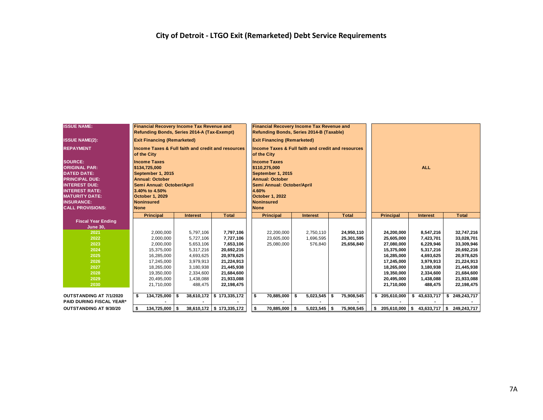| <b>ISSUE NAME:</b>                                                                                                                                                                                              |                                                                                                                                                                                                   | <b>Financial Recovery Income Tax Revenue and</b><br>Refunding Bonds, Series 2014-A (Tax-Exempt) |     |                 |                                                               | <b>Financial Recovery Income Tax Revenue and</b><br>Refunding Bonds, Series 2014-B (Taxable)                                                                                             |                                                                              |    |                 |    |              |    |                  |  |                 |    |               |
|-----------------------------------------------------------------------------------------------------------------------------------------------------------------------------------------------------------------|---------------------------------------------------------------------------------------------------------------------------------------------------------------------------------------------------|-------------------------------------------------------------------------------------------------|-----|-----------------|---------------------------------------------------------------|------------------------------------------------------------------------------------------------------------------------------------------------------------------------------------------|------------------------------------------------------------------------------|----|-----------------|----|--------------|----|------------------|--|-----------------|----|---------------|
| <b>ISSUE NAME(2):</b>                                                                                                                                                                                           |                                                                                                                                                                                                   | <b>Exit Financing (Remarketed)</b>                                                              |     |                 |                                                               |                                                                                                                                                                                          | <b>Exit Financing (Remarketed)</b>                                           |    |                 |    |              |    |                  |  |                 |    |               |
| <b>REPAYMENT</b>                                                                                                                                                                                                |                                                                                                                                                                                                   | of the City                                                                                     |     |                 | <b>Income Taxes &amp; Full faith and credit and resources</b> |                                                                                                                                                                                          | <b>Income Taxes &amp; Full faith and credit and resources</b><br>of the City |    |                 |    |              |    |                  |  |                 |    |               |
| <b>SOURCE:</b><br><b>ORIGINAL PAR:</b><br><b>DATED DATE:</b><br><b>PRINCIPAL DUE:</b><br><b>INTEREST DUE:</b><br><b>INTEREST RATE:</b><br><b>MATURITY DATE:</b><br><b>INSURANCE:</b><br><b>CALL PROVISIONS:</b> | <b>Income Taxes</b><br>\$134,725,000<br>September 1, 2015<br><b>Annual: October</b><br>Semi Annual: October/April<br>3.40% to 4.50%<br><b>October 1, 2029</b><br><b>Noninsured</b><br><b>None</b> |                                                                                                 |     |                 |                                                               | <b>Income Taxes</b><br>\$110,275,000<br>September 1, 2015<br><b>Annual: October</b><br>Semi Annual: October/April<br>4.60%<br><b>October 1, 2022</b><br><b>Noninsured</b><br><b>None</b> |                                                                              |    |                 |    |              |    | <b>ALL</b>       |  |                 |    |               |
|                                                                                                                                                                                                                 |                                                                                                                                                                                                   | <b>Principal</b>                                                                                |     | <b>Interest</b> | <b>Total</b>                                                  |                                                                                                                                                                                          | <b>Principal</b>                                                             |    | <b>Interest</b> |    | <b>Total</b> |    | <b>Principal</b> |  | <b>Interest</b> |    | <b>Total</b>  |
| <b>Fiscal Year Ending</b><br><b>June 30,</b>                                                                                                                                                                    |                                                                                                                                                                                                   |                                                                                                 |     |                 |                                                               |                                                                                                                                                                                          |                                                                              |    |                 |    |              |    |                  |  |                 |    |               |
| 2021                                                                                                                                                                                                            |                                                                                                                                                                                                   | 2,000,000                                                                                       |     | 5,797,106       | 7,797,106                                                     |                                                                                                                                                                                          | 22,200,000                                                                   |    | 2,750,110       |    | 24,950,110   |    | 24,200,000       |  | 8,547,216       |    | 32,747,216    |
| 2022                                                                                                                                                                                                            |                                                                                                                                                                                                   | 2,000,000                                                                                       |     | 5,727,106       | 7,727,106                                                     |                                                                                                                                                                                          | 23,605,000                                                                   |    | 1,696,595       |    | 25,301,595   |    | 25,605,000       |  | 7,423,701       |    | 33,028,701    |
| 2023                                                                                                                                                                                                            |                                                                                                                                                                                                   | 2,000,000                                                                                       |     | 5,653,106       | 7,653,106                                                     |                                                                                                                                                                                          | 25,080,000                                                                   |    | 576,840         |    | 25,656,840   |    | 27,080,000       |  | 6,229,946       |    | 33,309,946    |
| 2024                                                                                                                                                                                                            |                                                                                                                                                                                                   | 15,375,000                                                                                      |     | 5,317,216       | 20,692,216                                                    |                                                                                                                                                                                          |                                                                              |    |                 |    |              |    | 15,375,000       |  | 5,317,216       |    | 20,692,216    |
| 2025                                                                                                                                                                                                            |                                                                                                                                                                                                   | 16,285,000                                                                                      |     | 4,693,625       | 20,978,625                                                    |                                                                                                                                                                                          |                                                                              |    |                 |    |              |    | 16,285,000       |  | 4,693,625       |    | 20,978,625    |
| 2026                                                                                                                                                                                                            |                                                                                                                                                                                                   | 17.245.000                                                                                      |     | 3,979,913       | 21,224,913                                                    |                                                                                                                                                                                          |                                                                              |    |                 |    |              |    | 17.245.000       |  | 3,979,913       |    | 21,224,913    |
| 2027                                                                                                                                                                                                            |                                                                                                                                                                                                   | 18,265,000                                                                                      |     | 3,180,938       | 21,445,938                                                    |                                                                                                                                                                                          |                                                                              |    |                 |    |              |    | 18,265,000       |  | 3,180,938       |    | 21,445,938    |
| 2028                                                                                                                                                                                                            |                                                                                                                                                                                                   | 19,350,000                                                                                      |     | 2,334,600       | 21,684,600                                                    |                                                                                                                                                                                          |                                                                              |    |                 |    |              |    | 19,350,000       |  | 2,334,600       |    | 21,684,600    |
| 2029                                                                                                                                                                                                            |                                                                                                                                                                                                   | 20,495,000                                                                                      |     | 1,438,088       | 21,933,088                                                    |                                                                                                                                                                                          |                                                                              |    |                 |    |              |    | 20,495,000       |  | 1,438,088       |    | 21,933,088    |
| 2030                                                                                                                                                                                                            |                                                                                                                                                                                                   | 21,710,000                                                                                      |     | 488,475         | 22,198,475                                                    |                                                                                                                                                                                          |                                                                              |    |                 |    |              |    | 21,710,000       |  | 488,475         |    | 22,198,475    |
| OUTSTANDING AT 7/1/2020                                                                                                                                                                                         | \$                                                                                                                                                                                                | 134,725,000                                                                                     | l S | 38,610,172      | \$173,335,172                                                 | \$                                                                                                                                                                                       | 70,885,000                                                                   | -S | 5,023,545       | \$ | 75,908,545   |    | \$ 205,610,000   |  | \$43,633,717    |    | \$249,243,717 |
| <b>PAID DURING FISCAL YEAR*</b>                                                                                                                                                                                 |                                                                                                                                                                                                   |                                                                                                 |     |                 |                                                               |                                                                                                                                                                                          |                                                                              |    |                 |    |              |    |                  |  |                 |    |               |
| <b>OUTSTANDING AT 9/30/20</b>                                                                                                                                                                                   | \$                                                                                                                                                                                                | 134,725,000 \$                                                                                  |     |                 | 38,610,172   \$173,335,172                                    | \$                                                                                                                                                                                       | 70,885,000 \$                                                                |    | $5,023,545$ \$  |    | 75,908,545   | \$ | $205,610,000$ \$ |  | 43,633,717      | \$ | 249,243,717   |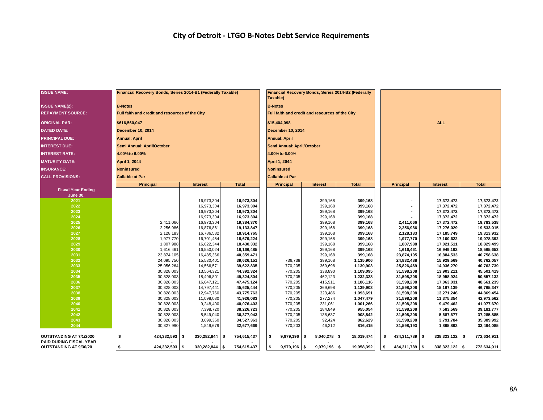| <b>ISSUE NAME:</b>                                        | Financial Recovery Bonds, Series 2014-B1 (Federally Taxable) |                          |                          | Taxable)                   |                                                 | Financial Recovery Bonds, Series 2014-B2 (Federally |                          |                          |                          |
|-----------------------------------------------------------|--------------------------------------------------------------|--------------------------|--------------------------|----------------------------|-------------------------------------------------|-----------------------------------------------------|--------------------------|--------------------------|--------------------------|
| <b>ISSUE NAME(2):</b>                                     | <b>B-Notes</b>                                               |                          |                          | <b>B-Notes</b>             |                                                 |                                                     |                          |                          |                          |
| <b>REPAYMENT SOURCE:</b>                                  | Full faith and credit and resources of the City              |                          |                          |                            | Full faith and credit and resources of the City |                                                     |                          |                          |                          |
| <b>ORIGINAL PAR:</b>                                      | \$616,560,047                                                |                          |                          | \$15,404,098               |                                                 |                                                     |                          | <b>ALL</b>               |                          |
| <b>DATED DATE:</b>                                        | <b>December 10, 2014</b>                                     |                          |                          | December 10, 2014          |                                                 |                                                     |                          |                          |                          |
| <b>PRINCIPAL DUE:</b>                                     | <b>Annual: April</b>                                         |                          |                          | <b>Annual: April</b>       |                                                 |                                                     |                          |                          |                          |
| <b>INTEREST DUE:</b>                                      | Semi Annual: April/October                                   |                          |                          | Semi Annual: April/October |                                                 |                                                     |                          |                          |                          |
| <b>INTEREST RATE:</b>                                     | 4.00% to 6.00%                                               |                          |                          | 4.00% to 6.00%             |                                                 |                                                     |                          |                          |                          |
| <b>MATURITY DATE:</b>                                     | April 1, 2044                                                |                          |                          | April 1, 2044              |                                                 |                                                     |                          |                          |                          |
| <b>INSURANCE:</b>                                         | <b>Noninsured</b>                                            |                          |                          | <b>Noninsured</b>          |                                                 |                                                     |                          |                          |                          |
| <b>CALL PROVISIONS:</b>                                   | <b>Callable at Par</b>                                       |                          |                          | <b>Callable at Par</b>     |                                                 |                                                     |                          |                          |                          |
|                                                           | <b>Principal</b>                                             | <b>Interest</b>          | <b>Total</b>             | <b>Principal</b>           | Interest                                        | <b>Total</b>                                        | Principal                | Interest                 | <b>Total</b>             |
| <b>Fiscal Year Ending</b><br><b>June 30,</b>              |                                                              |                          |                          |                            |                                                 |                                                     |                          |                          |                          |
| 2021                                                      |                                                              | 16,973,304               | 16,973,304               |                            | 399,168                                         | 399,168                                             | $\blacksquare$           | 17,372,472               | 17,372,472               |
| 2022                                                      |                                                              | 16,973,304               | 16,973,304               |                            | 399,168                                         | 399,168                                             |                          | 17,372,472               | 17,372,472               |
| 2023                                                      |                                                              | 16,973,304               | 16,973,304               |                            | 399,168                                         | 399,168                                             | $\blacksquare$           | 17,372,472               | 17,372,472               |
| 2024                                                      |                                                              | 16,973,304               | 16,973,304               |                            | 399,168                                         | 399,168                                             |                          | 17,372,472               | 17,372,472               |
| 2025                                                      | 2,411,066                                                    | 16,973,304               | 19,384,370               |                            | 399,168                                         | 399,168                                             | 2,411,066                | 17,372,472               | 19,783,538               |
| 2026                                                      | 2,256,986                                                    | 16,876,861               | 19,133,847               |                            | 399,168                                         | 399,168                                             | 2,256,986                | 17,276,029               | 19,533,015               |
| 2027                                                      | 2,128,183                                                    | 16.786.582               | 18,914,765               |                            | 399,168                                         | 399,168                                             | 2,128,183                | 17,185,749               | 19,313,932               |
| 2028                                                      | 1,977,770                                                    | 16,701,454               | 18,679,224               |                            | 399,168                                         | 399,168                                             | 1,977,770                | 17,100,622               | 19,078,392               |
| 2029<br>2030                                              | 1,807,988                                                    | 16,622,344<br>16,550,024 | 18,430,332               |                            | 399,168                                         | 399,168                                             | 1,807,988                | 17,021,511               | 18,829,499               |
| 2031                                                      | 1,616,461<br>23,874,105                                      | 16,485,366               | 18,166,485<br>40,359,471 |                            | 399,168<br>399,168                              | 399,168<br>399,168                                  | 1,616,461<br>23,874,105  | 16,949,192<br>16,884,533 | 18,565,653<br>40,758,638 |
| 2032                                                      | 24,095,750                                                   | 15,530,401               | 39,626,151               | 736,738                    | 399,168                                         | 1,135,906                                           | 24,832,488               | 15,929,569               | 40,762,057               |
| 2033                                                      | 25,056,264                                                   | 14,566,571               | 39,622,835               | 770,205                    | 369,698                                         | 1,139,903                                           | 25,826,469               | 14,936,270               | 40,762,739               |
| 2034                                                      | 30,828,003                                                   | 13,564,321               | 44,392,324               | 770,205                    | 338,890                                         | 1,109,095                                           | 31,598,208               | 13,903,211               | 45,501,419               |
| 2035                                                      | 30,828,003                                                   | 18,496,801               | 49,324,804               | 770,205                    | 462,123                                         | 1,232,328                                           | 31,598,208               | 18,958,924               | 50,557,132               |
| 2036                                                      | 30,828,003                                                   | 16,647,121               | 47,475,124               | 770,205                    | 415,911                                         | 1,186,116                                           | 31,598,208               | 17,063,031               | 48,661,239               |
| 2037                                                      | 30,828,003                                                   | 14,797,441               | 45,625,444               | 770,205                    | 369,698                                         | 1,139,903                                           | 31,598,208               | 15,167,139               | 46,765,347               |
| 2038                                                      | 30,828,003                                                   | 12,947,760               | 43,775,763               | 770,205                    | 323,486                                         | 1,093,691                                           | 31,598,208               | 13,271,246               | 44,869,454               |
| 2039                                                      | 30,828,003                                                   | 11,098,080               | 41,926,083               | 770,205                    | 277,274                                         | 1,047,479                                           | 31,598,208               | 11,375,354               | 42,973,562               |
| 2040                                                      | 30,828,003                                                   | 9,248,400                | 40,076,403               | 770,205                    | 231,061                                         | 1,001,266                                           | 31,598,208               | 9,479,462                | 41,077,670               |
| 2041<br>2042                                              | 30,828,003<br>30,828,003                                     | 7,398,720<br>5,549,040   | 38,226,723<br>36,377,043 | 770,205<br>770,205         | 184,849<br>138,637                              | 955,054<br>908,842                                  | 31,598,208<br>31,598,208 | 7,583,569<br>5,687,677   | 39,181,777<br>37,285,885 |
| 2043                                                      | 30,828,003                                                   | 3,699,360                | 34,527,363               | 770,205                    | 92,424                                          | 862,629                                             | 31,598,208               | 3,791,784                | 35,389,992               |
| 2044                                                      | 30,827,990                                                   | 1,849,679                | 32,677,669               | 770,203                    | 46,212                                          | 816,415                                             | 31,598,193               | 1,895,892                | 33,494,085               |
|                                                           |                                                              |                          |                          |                            |                                                 |                                                     |                          |                          |                          |
| OUTSTANDING AT 7/1/2020<br><b>PAID DURING FISCAL YEAR</b> | s.<br>424,332,593                                            | l S<br>330,282,844 \$    | 754,615,437              | \$<br>$9,979,196$ \$       | $8,040,278$ \$                                  | 18,019,474                                          | \$<br>434,311,789 \$     | 338,323,122              | 772,634,911<br>l Si      |
| <b>OUTSTANDING AT 9/30/20</b>                             | $\overline{\bullet}$<br>424,332,593 \$                       | $330,282,844$ \$         | 754,615,437              | $9,979,196$ \$<br>\$       | $9,979,196$ \$                                  | 19,958,392                                          | 434,311,789 \$           | $338,323,122$ \$         | 772,634,911              |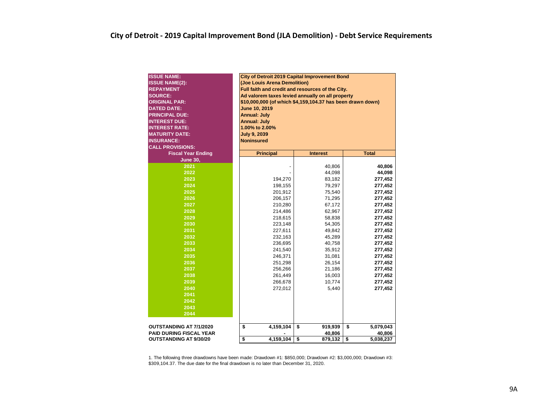| <b>ISSUE NAME:</b><br><b>ISSUE NAME(2):</b><br><b>REPAYMENT</b><br><b>SOURCE:</b><br><b>ORIGINAL PAR:</b><br><b>DATED DATE:</b><br><b>PRINCIPAL DUE:</b><br><b>INTEREST DUE:</b><br><b>INTEREST RATE:</b><br><b>MATURITY DATE:</b><br><b>INSURANCE:</b><br><b>CALL PROVISIONS:</b> | <b>City of Detroit 2019 Capital Improvement Bond</b><br>(Joe Louis Arena Demolition)<br>Full faith and credit and resources of the City.<br>Ad valorem taxes levied annually on all property<br>\$10,000,000 (of which \$4,159,104.37 has been drawn down)<br>June 10, 2019<br><b>Annual: July</b><br><b>Annual: July</b><br>1.00% to 2.00%<br><b>July 9, 2039</b><br><b>Noninsured</b> |                 |                           |
|------------------------------------------------------------------------------------------------------------------------------------------------------------------------------------------------------------------------------------------------------------------------------------|-----------------------------------------------------------------------------------------------------------------------------------------------------------------------------------------------------------------------------------------------------------------------------------------------------------------------------------------------------------------------------------------|-----------------|---------------------------|
| <b>Fiscal Year Ending</b>                                                                                                                                                                                                                                                          | <b>Principal</b>                                                                                                                                                                                                                                                                                                                                                                        | <b>Interest</b> | <b>Total</b>              |
| <b>June 30,</b>                                                                                                                                                                                                                                                                    |                                                                                                                                                                                                                                                                                                                                                                                         |                 |                           |
| 2021                                                                                                                                                                                                                                                                               |                                                                                                                                                                                                                                                                                                                                                                                         | 40,806          | 40,806                    |
| 2022                                                                                                                                                                                                                                                                               |                                                                                                                                                                                                                                                                                                                                                                                         | 44,098          | 44,098                    |
| 2023                                                                                                                                                                                                                                                                               | 194,270                                                                                                                                                                                                                                                                                                                                                                                 | 83,182          | 277,452                   |
| 2024                                                                                                                                                                                                                                                                               | 198,155                                                                                                                                                                                                                                                                                                                                                                                 | 79,297          | 277,452                   |
| 2025                                                                                                                                                                                                                                                                               | 201,912                                                                                                                                                                                                                                                                                                                                                                                 | 75,540          | 277,452                   |
| 2026                                                                                                                                                                                                                                                                               | 206,157                                                                                                                                                                                                                                                                                                                                                                                 | 71,295          | 277,452                   |
| 2027                                                                                                                                                                                                                                                                               | 210,280                                                                                                                                                                                                                                                                                                                                                                                 | 67,172          | 277,452                   |
| 2028                                                                                                                                                                                                                                                                               | 214,486                                                                                                                                                                                                                                                                                                                                                                                 | 62,967          | 277,452                   |
| 2029                                                                                                                                                                                                                                                                               | 218,615                                                                                                                                                                                                                                                                                                                                                                                 | 58,838          | 277,452                   |
| 2030                                                                                                                                                                                                                                                                               | 223,148                                                                                                                                                                                                                                                                                                                                                                                 | 54,305          | 277,452                   |
| 2031                                                                                                                                                                                                                                                                               | 227,611                                                                                                                                                                                                                                                                                                                                                                                 | 49,842          | 277,452                   |
| 2032                                                                                                                                                                                                                                                                               | 232,163                                                                                                                                                                                                                                                                                                                                                                                 | 45,289          | 277,452                   |
| 2033                                                                                                                                                                                                                                                                               | 236,695                                                                                                                                                                                                                                                                                                                                                                                 | 40,758          | 277,452                   |
| 2034                                                                                                                                                                                                                                                                               | 241,540                                                                                                                                                                                                                                                                                                                                                                                 | 35,912          | 277,452                   |
| 2035                                                                                                                                                                                                                                                                               | 246,371                                                                                                                                                                                                                                                                                                                                                                                 | 31,081          | 277,452                   |
| 2036                                                                                                                                                                                                                                                                               | 251,298                                                                                                                                                                                                                                                                                                                                                                                 | 26,154          | 277,452                   |
| 2037                                                                                                                                                                                                                                                                               | 256,266                                                                                                                                                                                                                                                                                                                                                                                 | 21,186          | 277,452                   |
| 2038                                                                                                                                                                                                                                                                               | 261,449                                                                                                                                                                                                                                                                                                                                                                                 | 16,003          | 277,452                   |
| 2039                                                                                                                                                                                                                                                                               | 266,678                                                                                                                                                                                                                                                                                                                                                                                 | 10,774          | 277,452                   |
| 2040                                                                                                                                                                                                                                                                               | 272,012                                                                                                                                                                                                                                                                                                                                                                                 | 5,440           | 277,452                   |
| 2041                                                                                                                                                                                                                                                                               |                                                                                                                                                                                                                                                                                                                                                                                         |                 |                           |
| 2042                                                                                                                                                                                                                                                                               |                                                                                                                                                                                                                                                                                                                                                                                         |                 |                           |
| 2043                                                                                                                                                                                                                                                                               |                                                                                                                                                                                                                                                                                                                                                                                         |                 |                           |
| 2044                                                                                                                                                                                                                                                                               |                                                                                                                                                                                                                                                                                                                                                                                         |                 |                           |
|                                                                                                                                                                                                                                                                                    |                                                                                                                                                                                                                                                                                                                                                                                         |                 |                           |
| <b>OUTSTANDING AT 7/1/2020</b>                                                                                                                                                                                                                                                     | \$<br>4,159,104                                                                                                                                                                                                                                                                                                                                                                         | \$<br>919,939   | \$<br>5,079,043           |
| <b>PAID DURING FISCAL YEAR</b>                                                                                                                                                                                                                                                     | \$<br>4,159,104                                                                                                                                                                                                                                                                                                                                                                         | \$<br>40,806    | \$<br>40,806<br>5,038,237 |
| <b>OUTSTANDING AT 9/30/20</b>                                                                                                                                                                                                                                                      |                                                                                                                                                                                                                                                                                                                                                                                         | 879,132         |                           |

1. The following three drawdowns have been made: Drawdown #1: \$850,000; Drawdown #2: \$3,000,000; Drawdown #3: \$309,104.37. The due date for the final drawdown is no later than December 31, 2020.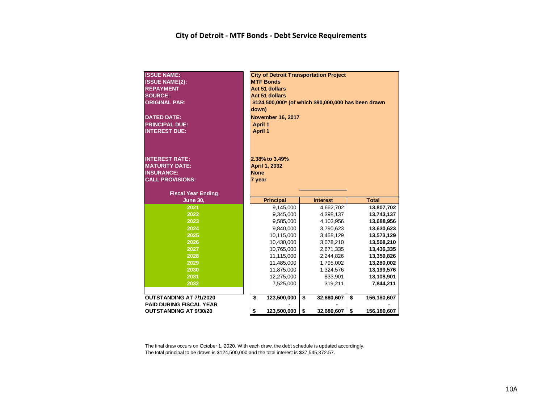#### **City of Detroit - MTF Bonds - Debt Service Requirements**

| <b>ISSUE NAME:</b><br><b>ISSUE NAME(2):</b><br><b>REPAYMENT</b><br><b>SOURCE:</b><br><b>ORIGINAL PAR:</b><br><b>DATED DATE:</b><br><b>PRINCIPAL DUE:</b> | down)<br><b>April 1</b>                 | <b>City of Detroit Transportation Project</b><br><b>MTF Bonds</b><br><b>Act 51 dollars</b><br><b>Act 51 dollars</b><br>\$124,500,000* (of which \$90,000,000 has been drawn<br><b>November 16, 2017</b> |                  |                   |
|----------------------------------------------------------------------------------------------------------------------------------------------------------|-----------------------------------------|---------------------------------------------------------------------------------------------------------------------------------------------------------------------------------------------------------|------------------|-------------------|
| <b>INTEREST DUE:</b><br><b>INTEREST RATE:</b><br><b>MATURITY DATE:</b><br><b>INSURANCE:</b><br><b>CALL PROVISIONS:</b><br><b>Fiscal Year Ending</b>      | <b>April 1</b><br><b>None</b><br>7 year | 2.38% to 3.49%<br>April 1, 2032                                                                                                                                                                         |                  |                   |
| <b>June 30,</b>                                                                                                                                          |                                         | <b>Principal</b>                                                                                                                                                                                        | <b>Interest</b>  | <b>Total</b>      |
| 2021                                                                                                                                                     |                                         | 9,145,000                                                                                                                                                                                               | 4,662,702        | 13,807,702        |
| 2022                                                                                                                                                     |                                         | 9,345,000                                                                                                                                                                                               | 4,398,137        | 13,743,137        |
| 2023                                                                                                                                                     |                                         | 9,585,000                                                                                                                                                                                               | 4,103,956        | 13,688,956        |
| 2024                                                                                                                                                     |                                         | 9,840,000                                                                                                                                                                                               | 3,790,623        | 13,630,623        |
| 2025                                                                                                                                                     |                                         | 10,115,000                                                                                                                                                                                              | 3,458,129        | 13,573,129        |
| 2026                                                                                                                                                     |                                         | 10,430,000                                                                                                                                                                                              | 3,078,210        | 13,508,210        |
| 2027                                                                                                                                                     |                                         | 10,765,000                                                                                                                                                                                              | 2,671,335        | 13,436,335        |
| 2028                                                                                                                                                     |                                         | 11,115,000                                                                                                                                                                                              | 2,244,826        | 13,359,826        |
| 2029                                                                                                                                                     |                                         | 11,485,000                                                                                                                                                                                              | 1,795,002        | 13,280,002        |
| 2030                                                                                                                                                     |                                         | 11,875,000                                                                                                                                                                                              | 1,324,576        | 13,199,576        |
| 2031                                                                                                                                                     |                                         | 12,275,000                                                                                                                                                                                              | 833,901          | 13,108,901        |
| 2032                                                                                                                                                     |                                         | 7,525,000                                                                                                                                                                                               | 319,211          | 7,844,211         |
| OUTSTANDING AT 7/1/2020                                                                                                                                  | \$                                      | 123,500,000                                                                                                                                                                                             | \$<br>32,680,607 | \$<br>156,180,607 |
| <b>PAID DURING FISCAL YEAR</b>                                                                                                                           |                                         |                                                                                                                                                                                                         |                  |                   |
| <b>OUTSTANDING AT 9/30/20</b>                                                                                                                            | \$                                      | 123,500,000                                                                                                                                                                                             | \$<br>32,680,607 | \$<br>156,180,607 |

The final draw occurs on October 1, 2020. With each draw, the debt schedule is updated accordingly. The total principal to be drawn is \$124,500,000 and the total interest is \$37,545,372.57.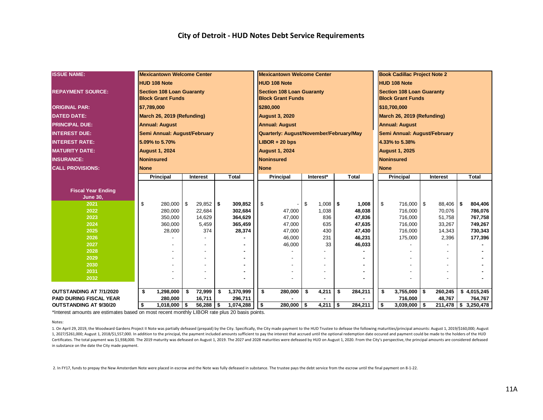| <b>ISSUE NAME:</b>             |             | <b>Mexicantown Welcome Center</b>                            |                         |               |     |                   |            | <b>Mexicantown Welcome Center</b>                            |                  |                  |             | <b>Book Cadillac Project Note 2</b>                          |     |                  |                      |
|--------------------------------|-------------|--------------------------------------------------------------|-------------------------|---------------|-----|-------------------|------------|--------------------------------------------------------------|------------------|------------------|-------------|--------------------------------------------------------------|-----|------------------|----------------------|
|                                |             | <b>HUD 108 Note</b>                                          |                         |               |     |                   |            | <b>HUD 108 Note</b>                                          |                  |                  |             | <b>HUD 108 Note</b>                                          |     |                  |                      |
| <b>REPAYMENT SOURCE:</b>       |             | <b>Section 108 Loan Guaranty</b><br><b>Block Grant Funds</b> |                         |               |     |                   |            | <b>Section 108 Loan Guaranty</b><br><b>Block Grant Funds</b> |                  |                  |             | <b>Section 108 Loan Guaranty</b><br><b>Block Grant Funds</b> |     |                  |                      |
| <b>ORIGINAL PAR:</b>           |             | \$7,789,000                                                  |                         |               |     |                   |            | \$280,000                                                    |                  |                  |             | \$10,700,000                                                 |     |                  |                      |
| <b>DATED DATE:</b>             |             | March 26, 2019 (Refunding)                                   |                         |               |     |                   |            | <b>August 3, 2020</b>                                        |                  |                  |             | March 26, 2019 (Refunding)                                   |     |                  |                      |
| <b>PRINCIPAL DUE:</b>          |             | <b>Annual: August</b>                                        |                         |               |     |                   |            | <b>Annual: August</b>                                        |                  |                  |             | <b>Annual: August</b>                                        |     |                  |                      |
| <b>INTEREST DUE:</b>           |             | Semi Annual: August/February                                 |                         |               |     |                   |            | Quarterly: August/November/February/May                      |                  |                  |             | Semi Annual: August/February                                 |     |                  |                      |
| <b>INTEREST RATE:</b>          |             | 5.09% to 5.70%                                               |                         |               |     |                   |            | $LIBOR + 20$ bps                                             |                  |                  |             | 4.33% to 5.38%                                               |     |                  |                      |
| <b>MATURITY DATE:</b>          |             | <b>August 1, 2024</b>                                        |                         |               |     |                   |            | <b>August 1, 2024</b>                                        |                  |                  |             | <b>August 1, 2025</b>                                        |     |                  |                      |
| <b>INSURANCE:</b>              |             | <b>Noninsured</b>                                            |                         |               |     |                   |            | <b>Noninsured</b>                                            |                  |                  |             | <b>Noninsured</b>                                            |     |                  |                      |
| <b>CALL PROVISIONS:</b>        | <b>None</b> |                                                              |                         |               |     |                   |            | <b>None</b>                                                  |                  |                  | <b>None</b> |                                                              |     |                  |                      |
|                                |             | Principal                                                    |                         | Interest      |     | <b>Total</b>      |            | Principal                                                    | Interest*        | <b>Total</b>     |             | Principal                                                    |     | Interest         | <b>Total</b>         |
|                                |             |                                                              |                         |               |     |                   |            |                                                              |                  |                  |             |                                                              |     |                  |                      |
| <b>Fiscal Year Ending</b>      |             |                                                              |                         |               |     |                   |            |                                                              |                  |                  |             |                                                              |     |                  |                      |
| <b>June 30,</b>                |             |                                                              |                         |               |     |                   |            |                                                              |                  |                  |             |                                                              |     |                  |                      |
| 2021                           | \$          | 280,000                                                      | $\mathfrak{F}$          | $29,852$ \$   |     | 309,852           | $\sqrt{3}$ |                                                              | \$<br>$1,008$ \$ | 1,008            | \$          | 716,000                                                      | \$  | 88,406 \$        | 804,406              |
| 2022                           |             | 280,000                                                      |                         | 22,684        |     | 302,684           |            | 47,000                                                       | 1,038            | 48,038           |             | 716,000                                                      |     | 70,076           | 786,076              |
| 2023                           |             | 350,000                                                      |                         | 14,629        |     | 364,629           |            | 47,000                                                       | 836              | 47,836           |             | 716,000                                                      |     | 51,758           | 767,758              |
| 2024<br>2025                   |             | 360,000<br>28,000                                            |                         | 5,459<br>374  |     | 365,459<br>28,374 |            | 47,000<br>47,000                                             | 635<br>430       | 47,635<br>47,430 |             | 716,000<br>716,000                                           |     | 33,267<br>14,343 | 749,267<br>730,343   |
| 2026                           |             |                                                              |                         |               |     |                   |            | 46,000                                                       | 231              | 46,231           |             | 175,000                                                      |     | 2,396            | 177,396              |
| 2027                           |             |                                                              |                         |               |     |                   |            | 46,000                                                       | 33               | 46,033           |             |                                                              |     |                  |                      |
| 2028                           |             |                                                              |                         |               |     |                   |            |                                                              |                  |                  |             |                                                              |     |                  |                      |
| 2029                           |             |                                                              |                         |               |     |                   |            |                                                              |                  |                  |             |                                                              |     |                  |                      |
| 2030                           |             |                                                              |                         |               |     |                   |            |                                                              |                  |                  |             |                                                              |     |                  |                      |
| 2031                           |             |                                                              |                         |               |     |                   |            |                                                              |                  |                  |             |                                                              |     |                  |                      |
| 2032                           |             |                                                              |                         |               |     |                   |            |                                                              |                  |                  |             |                                                              |     |                  |                      |
| <b>OUTSTANDING AT 7/1/2020</b> | \$          | 1,298,000                                                    | \$                      | 72,999        | -\$ | 1,370,999         |            | \$<br>280,000                                                | \$<br>4,211      | \$<br>284,211    | \$          | 3,755,000                                                    | \$  | 260,245          | \$4,015,245          |
| <b>PAID DURING FISCAL YEAR</b> |             | 280,000                                                      |                         | 16,711        |     | 296,711           |            |                                                              |                  |                  |             | 716,000                                                      |     | 48,767           | 764,767              |
| <b>OUTSTANDING AT 9/30/20</b>  | \$          | 1,018,000                                                    | $\overline{\mathbf{S}}$ | $56,288$   \$ |     | 1,074,288         | \$         | $280,000$ \$                                                 | 4,211            | \$<br>284,211    | \$          | 3,039,000                                                    | -\$ |                  | 211,478 \$ 3,250,478 |

\*Interest amounts are estimates based on most recent monthly LIBOR rate plus 20 basis points.

#### Notes:

1. On April 29, 2019, the Woodward Gardens Project II Note was partially defeased (prepaid) by the City. Specifically, the City made payment to the HUD Trustee to defease the following maturities/principal amounts: August 1, 2027/\$261,000; August 1, 2018/\$1,557,000. In addition to the principal, the payment included amounts sufficient to pay the interest that accrued until the optional redemption date occured and payment could be made to th Certificates. The total payment was \$1,938,000. The 2019 maturity was defeased on August 1, 2019. The 2027 and 2028 maturities were defeased by HUD on August 1, 2020. From the City's perspective, the principal amounts are in substance on the date the City made payment.

2. In FY17, funds to prepay the New Amsterdam Note were placed in escrow and the Note was fully defeased in substance. The trustee pays the debt service from the escrow until the final payment on 8-1-22.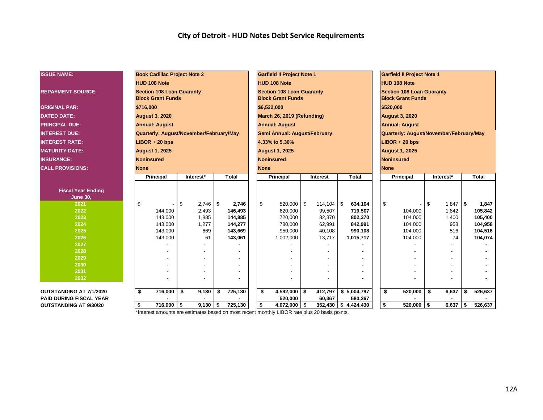| <b>ISSUE NAME:</b>             | <b>Book Cadillac Project Note 2</b>                          |                  |                    | <b>Garfield II Project Note 1</b>                            |                  |                        | <b>Garfield II Project Note 1</b>                            |                  |                    |
|--------------------------------|--------------------------------------------------------------|------------------|--------------------|--------------------------------------------------------------|------------------|------------------------|--------------------------------------------------------------|------------------|--------------------|
|                                | <b>HUD 108 Note</b>                                          |                  |                    | HUD 108 Note                                                 |                  |                        | <b>HUD 108 Note</b>                                          |                  |                    |
| <b>REPAYMENT SOURCE:</b>       | <b>Section 108 Loan Guaranty</b><br><b>Block Grant Funds</b> |                  |                    | <b>Section 108 Loan Guaranty</b><br><b>Block Grant Funds</b> |                  |                        | <b>Section 108 Loan Guaranty</b><br><b>Block Grant Funds</b> |                  |                    |
| <b>ORIGINAL PAR:</b>           | \$716,000                                                    |                  |                    | \$6,522,000                                                  |                  |                        | \$520,000                                                    |                  |                    |
| <b>DATED DATE:</b>             | <b>August 3, 2020</b>                                        |                  |                    | March 26, 2019 (Refunding)                                   |                  |                        | <b>August 3, 2020</b>                                        |                  |                    |
| <b>PRINCIPAL DUE:</b>          | <b>Annual: August</b>                                        |                  |                    | <b>Annual: August</b>                                        |                  |                        | <b>Annual: August</b>                                        |                  |                    |
| <b>INTEREST DUE:</b>           | Quarterly: August/November/February/May                      |                  |                    | Semi Annual: August/February                                 |                  |                        | Quarterly: August/November/February/May                      |                  |                    |
| <b>INTEREST RATE:</b>          | $LIBOR + 20$ bps                                             |                  |                    | 4.33% to 5.30%                                               |                  |                        | $LIBOR + 20$ bps                                             |                  |                    |
| <b>MATURITY DATE:</b>          | <b>August 1, 2025</b>                                        |                  |                    | <b>August 1, 2025</b>                                        |                  |                        | <b>August 1, 2025</b>                                        |                  |                    |
| <b>INSURANCE:</b>              | <b>Noninsured</b>                                            |                  |                    | <b>Noninsured</b>                                            |                  |                        | <b>Noninsured</b>                                            |                  |                    |
| <b>CALL PROVISIONS:</b>        | <b>None</b>                                                  |                  |                    | <b>None</b>                                                  |                  |                        | <b>None</b>                                                  |                  |                    |
|                                | Principal                                                    | Interest*        | <b>Total</b>       | Principal                                                    | <b>Interest</b>  | <b>Total</b>           | Principal                                                    | Interest*        | <b>Total</b>       |
|                                |                                                              |                  |                    |                                                              |                  |                        |                                                              |                  |                    |
| <b>Fiscal Year Ending</b>      |                                                              |                  |                    |                                                              |                  |                        |                                                              |                  |                    |
| <b>June 30,</b>                |                                                              |                  |                    |                                                              |                  |                        |                                                              |                  |                    |
| 2021                           | \$                                                           | \$<br>$2,746$ \$ | 2,746              | \$<br>520,000 \$                                             | $114,104$ \\$    | 634,104                | \$                                                           | \$<br>$1,847$ \$ | 1,847              |
| 2022                           | 144,000                                                      | 2,493            | 146,493            | 620,000                                                      | 99,507           | 719,507                | 104,000                                                      | 1,842            | 105,842            |
| 2023<br>2024                   | 143,000<br>143,000                                           | 1,885<br>1,277   | 144,885<br>144,277 | 720,000<br>780,000                                           | 82,370<br>62,991 | 802,370<br>842,991     | 104,000<br>104,000                                           | 1,400<br>958     | 105,400<br>104,958 |
| 2025                           | 143,000                                                      | 669              | 143,669            | 950,000                                                      | 40,108           | 990,108                | 104,000                                                      | 516              | 104,516            |
| 2026                           | 143,000                                                      | 61               | 143,061            | 1,002,000                                                    | 13,717           | 1,015,717              | 104,000                                                      | 74               | 104,074            |
| 2027                           |                                                              |                  |                    |                                                              |                  |                        |                                                              |                  |                    |
| 2028                           |                                                              |                  |                    |                                                              |                  |                        |                                                              |                  |                    |
| 2029                           |                                                              |                  |                    |                                                              |                  |                        |                                                              |                  |                    |
| 2030                           |                                                              |                  |                    |                                                              |                  |                        |                                                              |                  |                    |
| 2031                           |                                                              |                  |                    |                                                              |                  |                        |                                                              |                  |                    |
| 2032                           |                                                              |                  |                    |                                                              |                  |                        |                                                              |                  |                    |
| <b>OUTSTANDING AT 7/1/2020</b> | 716,000<br>\$                                                | \$<br>9,130      | 725,130<br>\$      | $4,592,000$ \$<br>\$                                         | 412,797          | \$5,004,797            | 520,000<br>\$                                                | \$<br>6,637      | \$<br>526,637      |
| <b>PAID DURING FISCAL YEAR</b> |                                                              |                  |                    | 520,000                                                      | 60,367           | 580,367                |                                                              |                  |                    |
| <b>OUTSTANDING AT 9/30/20</b>  | $716,000$ \$<br>\$                                           | $9,130$ \$       | 725,130            | \$<br>4,072,000 \$                                           |                  | $352,430$ \$ 4,424,430 | \$<br>$520,000$ \$                                           | 6,637            | 526,637            |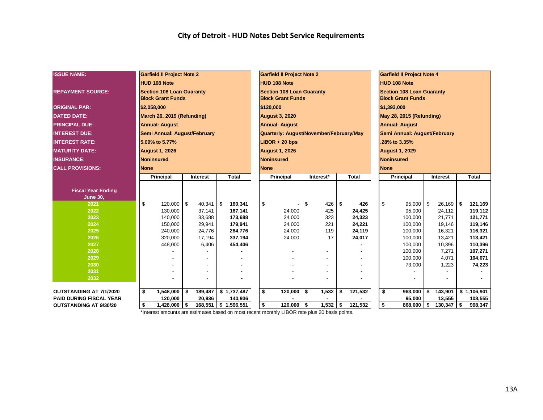| <b>ISSUE NAME:</b>                           |             | <b>Garfield II Project Note 2</b>                            |      |                  |  |                        |  | <b>Garfield II Project Note 2</b>                            |             |                  |                     | <b>Garfield II Project Note 4</b>                            |                   |                    |
|----------------------------------------------|-------------|--------------------------------------------------------------|------|------------------|--|------------------------|--|--------------------------------------------------------------|-------------|------------------|---------------------|--------------------------------------------------------------|-------------------|--------------------|
|                                              |             | <b>HUD 108 Note</b>                                          |      |                  |  |                        |  | <b>HUD 108 Note</b>                                          |             |                  | <b>HUD 108 Note</b> |                                                              |                   |                    |
| <b>REPAYMENT SOURCE:</b>                     |             | <b>Section 108 Loan Guaranty</b><br><b>Block Grant Funds</b> |      |                  |  |                        |  | <b>Section 108 Loan Guaranty</b><br><b>Block Grant Funds</b> |             |                  |                     | <b>Section 108 Loan Guaranty</b><br><b>Block Grant Funds</b> |                   |                    |
| <b>ORIGINAL PAR:</b>                         | \$2,058,000 |                                                              |      |                  |  |                        |  | \$120,000                                                    |             |                  | \$1,393,000         |                                                              |                   |                    |
| <b>DATED DATE:</b>                           |             | March 26, 2019 (Refunding)                                   |      |                  |  |                        |  | <b>August 3, 2020</b>                                        |             |                  |                     | May 28, 2015 (Refunding)                                     |                   |                    |
| <b>PRINCIPAL DUE:</b>                        |             | <b>Annual: August</b>                                        |      |                  |  |                        |  | <b>Annual: August</b>                                        |             |                  |                     | <b>Annual: August</b>                                        |                   |                    |
| <b>INTEREST DUE:</b>                         |             | Semi Annual: August/February                                 |      |                  |  |                        |  | Quarterly: August/November/February/May                      |             |                  |                     | Semi Annual: August/February                                 |                   |                    |
| <b>INTEREST RATE:</b>                        |             | 5.09% to 5.77%                                               |      |                  |  |                        |  | $LIBOR + 20$ bps                                             |             |                  |                     | .28% to 3.35%                                                |                   |                    |
| <b>MATURITY DATE:</b>                        |             | <b>August 1, 2026</b>                                        |      |                  |  |                        |  | <b>August 1, 2026</b>                                        |             |                  |                     | <b>August 1, 2029</b>                                        |                   |                    |
| <b>INSURANCE:</b>                            |             | Noninsured                                                   |      |                  |  |                        |  | <b>Noninsured</b>                                            |             |                  | <b>Noninsured</b>   |                                                              |                   |                    |
| <b>CALL PROVISIONS:</b>                      | <b>None</b> |                                                              |      |                  |  |                        |  | <b>None</b>                                                  |             |                  | <b>None</b>         |                                                              |                   |                    |
|                                              |             | <b>Principal</b>                                             |      | <b>Interest</b>  |  | <b>Total</b>           |  | <b>Principal</b>                                             | Interest*   | <b>Total</b>     |                     | <b>Principal</b>                                             | <b>Interest</b>   | <b>Total</b>       |
|                                              |             |                                                              |      |                  |  |                        |  |                                                              |             |                  |                     |                                                              |                   |                    |
| <b>Fiscal Year Ending</b><br><b>June 30,</b> |             |                                                              |      |                  |  |                        |  |                                                              |             |                  |                     |                                                              |                   |                    |
| 2021                                         | \$          | 120,000                                                      | l \$ | $40,341$ \$      |  | 160,341                |  | \$                                                           | \$<br>426   | \$<br>426        | \$                  | 95,000                                                       | \$<br>$26,169$ \$ | 121,169            |
| 2022                                         |             | 130,000                                                      |      | 37,141           |  | 167,141                |  | 24,000                                                       | 425         | 24,425           |                     | 95,000                                                       | 24,112            | 119,112            |
| 2023                                         |             | 140,000                                                      |      | 33,688           |  | 173,688                |  | 24,000                                                       | 323         | 24,323           |                     | 100,000                                                      | 21,771            | 121,771            |
| 2024<br>2025                                 |             | 150,000<br>240,000                                           |      | 29,941<br>24,776 |  | 179,941<br>264,776     |  | 24,000<br>24,000                                             | 221<br>119  | 24,221<br>24,119 |                     | 100,000<br>100,000                                           | 19,146<br>16,321  | 119,146<br>116,321 |
| 2026                                         |             | 320,000                                                      |      | 17,194           |  | 337,194                |  | 24,000                                                       | 17          | 24,017           |                     | 100,000                                                      | 13,421            | 113,421            |
| 2027                                         |             | 448,000                                                      |      | 6,406            |  | 454,406                |  |                                                              |             |                  |                     | 100,000                                                      | 10,396            | 110,396            |
| 2028                                         |             |                                                              |      |                  |  |                        |  |                                                              |             |                  |                     | 100,000                                                      | 7,271             | 107,271            |
| 2029                                         |             |                                                              |      |                  |  |                        |  |                                                              |             |                  |                     | 100,000                                                      | 4,071             | 104,071            |
| 2030                                         |             |                                                              |      |                  |  |                        |  |                                                              |             |                  |                     | 73,000                                                       | 1,223             | 74,223             |
| 2031<br>2032                                 |             |                                                              |      |                  |  |                        |  |                                                              |             |                  |                     |                                                              |                   |                    |
|                                              |             |                                                              |      |                  |  |                        |  |                                                              |             |                  |                     |                                                              |                   |                    |
| <b>OUTSTANDING AT 7/1/2020</b>               | \$          | 1,548,000                                                    | \$   | 189,487          |  | \$1,737,487            |  | \$<br>120,000                                                | \$<br>1,532 | \$<br>121,532    | \$                  | 963,000                                                      | \$<br>143,901     | \$1,106,901        |
| <b>PAID DURING FISCAL YEAR</b>               |             | 120,000                                                      |      | 20,936           |  | 140,936                |  |                                                              |             |                  |                     | 95,000                                                       | 13,555            | 108,555            |
| <b>OUTSTANDING AT 9/30/20</b>                | - \$        | 1,428,000                                                    | 5    |                  |  | 168,551   \$ 1,596,551 |  | \$<br>$120,000$ \$                                           | $1,532$ \$  | 121,532          | \$                  | $868,000$ \$                                                 | $130,347$ \$      | 998,347            |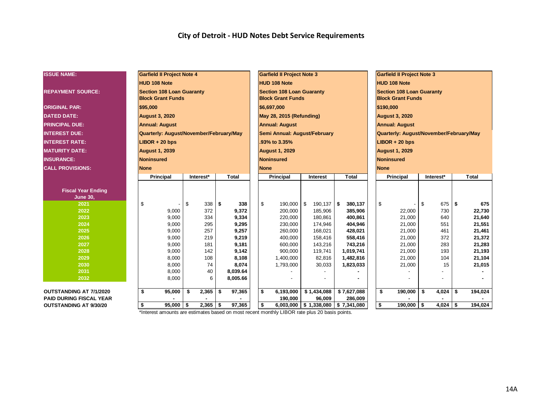| <b>ISSUE NAME:</b>                           |                   | <b>Garfield II Project Note 4</b>                            |    |            |              |                      |  |                | <b>Garfield II Project Note 3</b>                            |                          |                    |                     | <b>Garfield II Project Note 3</b>                            |     |            |     |                  |
|----------------------------------------------|-------------------|--------------------------------------------------------------|----|------------|--------------|----------------------|--|----------------|--------------------------------------------------------------|--------------------------|--------------------|---------------------|--------------------------------------------------------------|-----|------------|-----|------------------|
|                                              |                   | <b>HUD 108 Note</b>                                          |    |            |              |                      |  |                | <b>HUD 108 Note</b>                                          |                          |                    | <b>HUD 108 Note</b> |                                                              |     |            |     |                  |
| <b>REPAYMENT SOURCE:</b>                     |                   | <b>Section 108 Loan Guaranty</b><br><b>Block Grant Funds</b> |    |            |              |                      |  |                | <b>Section 108 Loan Guaranty</b><br><b>Block Grant Funds</b> |                          |                    |                     | <b>Section 108 Loan Guaranty</b><br><b>Block Grant Funds</b> |     |            |     |                  |
| <b>ORIGINAL PAR:</b>                         | \$95,000          |                                                              |    |            |              |                      |  |                | \$6,697,000                                                  |                          |                    | \$190,000           |                                                              |     |            |     |                  |
| <b>DATED DATE:</b>                           |                   | <b>August 3, 2020</b>                                        |    |            |              |                      |  |                | May 28, 2015 (Refunding)                                     |                          |                    |                     | <b>August 3, 2020</b>                                        |     |            |     |                  |
| <b>PRINCIPAL DUE:</b>                        |                   | <b>Annual: August</b>                                        |    |            |              |                      |  |                | <b>Annual: August</b>                                        |                          |                    |                     | <b>Annual: August</b>                                        |     |            |     |                  |
| <b>INTEREST DUE:</b>                         |                   | Quarterly: August/November/February/May                      |    |            |              |                      |  |                | Semi Annual: August/February                                 |                          |                    |                     | Quarterly: August/November/February/May                      |     |            |     |                  |
| <b>INTEREST RATE:</b>                        |                   | $LIBOR + 20$ bps                                             |    |            |              |                      |  |                | .93% to 3.35%                                                |                          |                    |                     | $LIBOR + 20$ bps                                             |     |            |     |                  |
| <b>MATURITY DATE:</b>                        |                   | <b>August 1, 2039</b>                                        |    |            |              |                      |  |                | <b>August 1, 2029</b>                                        |                          |                    |                     | <b>August 1, 2029</b>                                        |     |            |     |                  |
| <b>INSURANCE:</b>                            | <b>Noninsured</b> |                                                              |    |            |              |                      |  |                | <b>Noninsured</b>                                            |                          |                    | Noninsured          |                                                              |     |            |     |                  |
| <b>CALL PROVISIONS:</b>                      | <b>None</b>       |                                                              |    |            |              |                      |  | <b>None</b>    |                                                              |                          |                    | <b>None</b>         |                                                              |     |            |     |                  |
|                                              |                   | Principal                                                    |    | Interest*  |              | <b>Total</b>         |  |                | Principal                                                    | <b>Interest</b>          | <b>Total</b>       |                     | Principal                                                    |     | Interest*  |     | <b>Total</b>     |
| <b>Fiscal Year Ending</b><br><b>June 30,</b> |                   |                                                              |    |            |              |                      |  |                |                                                              |                          |                    |                     |                                                              |     |            |     |                  |
| 2021                                         | \$                |                                                              | \$ | 338        | $\mathsf{I}$ | 338                  |  | $\mathfrak{S}$ | 190,000 \$                                                   | $190, 137$ \$            | 380,137            | \$                  |                                                              | \$  | $675$ \$   |     | 675              |
| 2022                                         |                   | 9,000                                                        |    | 372<br>334 |              | 9,372                |  |                | 200,000                                                      | 185,906                  | 385,906            |                     | 22,000                                                       |     | 730        |     | 22,730           |
| 2023<br>2024                                 |                   | 9,000<br>9,000                                               |    | 295        |              | 9,334<br>9,295       |  |                | 220,000<br>230,000                                           | 180,861<br>174,946       | 400,861<br>404,946 |                     | 21,000<br>21,000                                             |     | 640<br>551 |     | 21,640<br>21,551 |
| 2025                                         |                   | 9,000                                                        |    | 257        |              | 9,257                |  |                | 260,000                                                      | 168,021                  | 428,021            |                     | 21,000                                                       |     | 461        |     | 21,461           |
| 2026                                         |                   | 9,000                                                        |    | 219        |              | 9,219                |  |                | 400,000                                                      | 158,416                  | 558,416            |                     | 21,000                                                       |     | 372        |     | 21,372           |
| 2027                                         |                   | 9.000                                                        |    | 181        |              | 9,181                |  |                | 600.000                                                      | 143,216                  | 743,216            |                     | 21,000                                                       |     | 283        |     | 21,283           |
| 2028                                         |                   | 9,000                                                        |    | 142        |              | 9,142                |  |                | 900,000                                                      | 119,741                  | 1,019,741          |                     | 21,000                                                       |     | 193        |     | 21,193           |
| 2029                                         |                   | 8,000                                                        |    | 108        |              | 8,108                |  |                | 1,400,000                                                    | 82,816                   | 1,482,816          |                     | 21,000                                                       |     | 104        |     | 21,104           |
| 2030                                         |                   | 8,000                                                        |    | 74         |              | 8,074                |  |                | 1,793,000                                                    | 30,033                   | 1,823,033          |                     | 21,000                                                       |     | 15         |     | 21,015           |
| 2031<br>2032                                 |                   | 8,000<br>8,000                                               |    | 40<br>6    |              | 8,039.64<br>8,005.66 |  |                |                                                              |                          |                    |                     |                                                              |     |            |     |                  |
| <b>OUTSTANDING AT 7/1/2020</b>               | \$                | 95,000                                                       | \$ | $2,365$ \$ |              | 97,365               |  | \$             | 6,193,000                                                    | \$1,434,088              | \$7,627,088        | \$                  | 190,000                                                      | -\$ | 4,024      | \$  | 194,024          |
| <b>PAID DURING FISCAL YEAR</b>               |                   |                                                              |    |            |              |                      |  |                | 190,000                                                      | 96,009                   | 286,009            |                     |                                                              |     |            |     |                  |
| <b>OUTSTANDING AT 9/30/20</b>                | \$                | $95,000$ \$                                                  |    | $2,365$ \$ |              | 97,365               |  | \$             |                                                              | 6,003,000   \$ 1,338,080 | \$7,341,080        | \$                  | 190,000                                                      | -\$ | 4,024      | -\$ | 194,024          |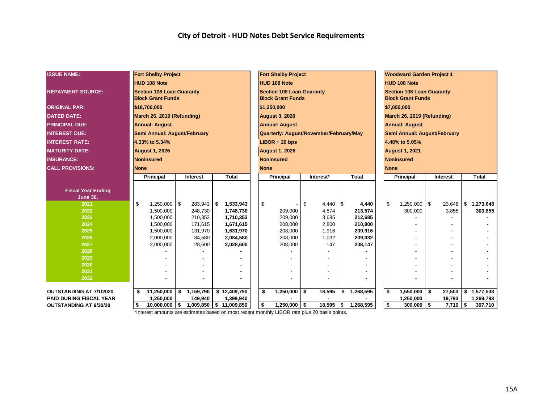| <b>ISSUE NAME:</b>             | <b>Fort Shelby Project</b>                   |    |                  |      |                        |  |    | <b>Fort Shelby Project</b>              |                  |                    |             | <b>Woodward Garden Project 1</b> |                 |                 |
|--------------------------------|----------------------------------------------|----|------------------|------|------------------------|--|----|-----------------------------------------|------------------|--------------------|-------------|----------------------------------|-----------------|-----------------|
|                                | <b>HUD 108 Note</b>                          |    |                  |      |                        |  |    | <b>HUD 108 Note</b>                     |                  |                    |             | <b>HUD 108 Note</b>              |                 |                 |
| <b>REPAYMENT SOURCE:</b>       | <b>Section 108 Loan Guaranty</b>             |    |                  |      |                        |  |    | <b>Section 108 Loan Guaranty</b>        |                  |                    |             | <b>Section 108 Loan Guaranty</b> |                 |                 |
|                                | <b>Block Grant Funds</b>                     |    |                  |      |                        |  |    | <b>Block Grant Funds</b>                |                  |                    |             | <b>Block Grant Funds</b>         |                 |                 |
| <b>ORIGINAL PAR:</b>           | \$18,700,000                                 |    |                  |      |                        |  |    | \$1,250,000                             |                  |                    |             | \$7,050,000                      |                 |                 |
| <b>DATED DATE:</b>             | March 26, 2019 (Refunding)                   |    |                  |      |                        |  |    | <b>August 3, 2020</b>                   |                  |                    |             | March 26, 2019 (Refunding)       |                 |                 |
| <b>PRINCIPAL DUE:</b>          | <b>Annual: August</b>                        |    |                  |      |                        |  |    | <b>Annual: August</b>                   |                  |                    |             | <b>Annual: August</b>            |                 |                 |
| <b>INTEREST DUE:</b>           | Semi Annual: August/February                 |    |                  |      |                        |  |    | Quarterly: August/November/February/May |                  |                    |             | Semi Annual: August/February     |                 |                 |
| <b>INTEREST RATE:</b>          | 4.33% to 5.34%                               |    |                  |      |                        |  |    | $LIBOR + 20 bps$                        |                  |                    |             | 4.48% to 5.05%                   |                 |                 |
| <b>MATURITY DATE:</b>          | <b>August 1, 2026</b>                        |    |                  |      |                        |  |    | <b>August 1, 2026</b>                   |                  |                    |             | <b>August 1, 2021</b>            |                 |                 |
| <b>INSURANCE:</b>              | <b>Noninsured</b>                            |    |                  |      |                        |  |    | <b>Noninsured</b>                       |                  |                    |             | <b>Noninsured</b>                |                 |                 |
| <b>CALL PROVISIONS:</b>        | <b>None</b>                                  |    |                  |      |                        |  |    | <b>None</b>                             |                  |                    | <b>None</b> |                                  |                 |                 |
|                                | <b>Principal</b><br><b>Total</b><br>Interest |    |                  |      |                        |  |    | Principal                               | Interest*        | <b>Total</b>       |             | <b>Principal</b>                 | <b>Interest</b> | <b>Total</b>    |
|                                |                                              |    |                  |      |                        |  |    |                                         |                  |                    |             |                                  |                 |                 |
| <b>Fiscal Year Ending</b>      |                                              |    |                  |      |                        |  |    |                                         |                  |                    |             |                                  |                 |                 |
| <b>June 30,</b>                |                                              |    |                  |      |                        |  |    |                                         |                  |                    |             |                                  |                 |                 |
| 2021                           | \$<br>$1,250,000$ \ \$                       |    | 283,943          | l \$ | 1,533,943              |  | \$ |                                         | \$<br>$4,440$ \$ | 4,440              | \$          | $1,250,000$ \ \$                 | 23,648          | \$<br>1,273,648 |
| 2022                           | 1,500,000                                    |    | 248,730          |      | 1,748,730              |  |    | 209,000                                 | 4,574            | 213,574            |             | 300,000                          | 3,855           | 303,855         |
| 2023                           | 1,500,000                                    |    | 210,353          |      | 1,710,353              |  |    | 209,000                                 | 3,685            | 212,685            |             |                                  |                 |                 |
| 2024                           | 1,500,000                                    |    | 171,615          |      | 1,671,615              |  |    | 208,000                                 | 2,800            | 210,800            |             |                                  |                 |                 |
| 2025                           | 1,500,000                                    |    | 131,970          |      | 1,631,970              |  |    | 208,000                                 | 1,916            | 209,916            |             |                                  |                 |                 |
| 2026<br>2027                   | 2,000,000<br>2,000,000                       |    | 84,580<br>28,600 |      | 2,084,580<br>2,028,600 |  |    | 208,000<br>208,000                      | 1,032<br>147     | 209,032<br>208,147 |             |                                  |                 |                 |
| 2028                           |                                              |    |                  |      |                        |  |    |                                         |                  |                    |             |                                  |                 |                 |
| 2029                           |                                              |    |                  |      |                        |  |    |                                         |                  |                    |             |                                  |                 |                 |
| 2030                           |                                              |    |                  |      |                        |  |    |                                         |                  |                    |             |                                  |                 |                 |
| 2031                           |                                              |    |                  |      |                        |  |    |                                         |                  |                    |             |                                  |                 |                 |
| 2032                           |                                              |    |                  |      |                        |  |    |                                         |                  |                    |             |                                  |                 |                 |
|                                |                                              |    |                  |      |                        |  |    |                                         |                  |                    |             |                                  |                 |                 |
| <b>OUTSTANDING AT 7/1/2020</b> | \$<br>11,250,000                             | \$ | 1,159,790        |      | \$12,409,790           |  | \$ | 1,250,000                               | \$<br>18,595     | \$<br>1,268,595    | \$          | 1,550,000                        | \$<br>27,503    | \$<br>1,577,503 |
| <b>PAID DURING FISCAL YEAR</b> | 1,250,000                                    |    | 149,940          |      | 1,399,940              |  |    |                                         |                  |                    |             | 1,250,000                        | 19,793          | 1,269,793       |
| <b>OUTSTANDING AT 9/30/20</b>  | \$<br>10,000,000                             | \$ |                  |      | 1,009,850 \$11,009,850 |  | \$ | $1,250,000$ \$                          | 18,595           | \$<br>1,268,595    | \$          | $300,000$ \$                     | $7,710$ \$      | 307,710         |
|                                |                                              |    |                  |      |                        |  |    |                                         |                  |                    |             |                                  |                 |                 |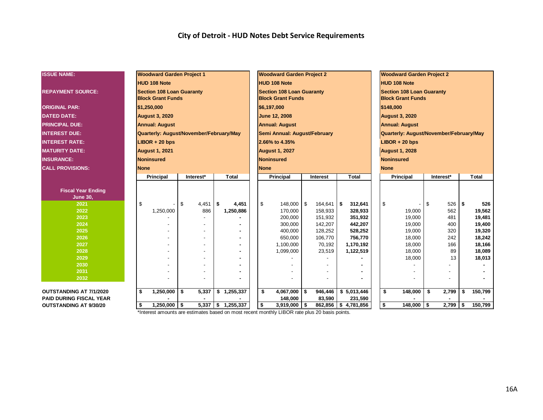| <b>ISSUE NAME:</b>             | <b>Woodward Garden Project 1</b>                             |             |                      | <b>Woodward Garden Project 2</b>                             |                     |              |                    |             | <b>Woodward Garden Project 2</b>                             |      |            |      |                  |
|--------------------------------|--------------------------------------------------------------|-------------|----------------------|--------------------------------------------------------------|---------------------|--------------|--------------------|-------------|--------------------------------------------------------------|------|------------|------|------------------|
|                                | <b>HUD 108 Note</b>                                          |             |                      | <b>HUD 108 Note</b>                                          |                     |              |                    |             | <b>HUD 108 Note</b>                                          |      |            |      |                  |
| <b>REPAYMENT SOURCE:</b>       | <b>Section 108 Loan Guaranty</b><br><b>Block Grant Funds</b> |             |                      | <b>Section 108 Loan Guaranty</b><br><b>Block Grant Funds</b> |                     |              |                    |             | <b>Section 108 Loan Guaranty</b><br><b>Block Grant Funds</b> |      |            |      |                  |
| <b>ORIGINAL PAR:</b>           | \$1,250,000                                                  |             |                      | \$6,197,000                                                  |                     |              |                    |             | \$148,000                                                    |      |            |      |                  |
| <b>DATED DATE:</b>             | <b>August 3, 2020</b>                                        |             |                      | <b>June 12, 2008</b>                                         |                     |              |                    |             | <b>August 3, 2020</b>                                        |      |            |      |                  |
| <b>PRINCIPAL DUE:</b>          | <b>Annual: August</b>                                        |             |                      | <b>Annual: August</b>                                        |                     |              |                    |             | <b>Annual: August</b>                                        |      |            |      |                  |
| <b>INTEREST DUE:</b>           | Quarterly: August/November/February/May                      |             |                      | Semi Annual: August/February                                 |                     |              |                    |             | Quarterly: August/November/February/May                      |      |            |      |                  |
| <b>INTEREST RATE:</b>          | $LIBOR + 20$ bps                                             |             |                      | 2.66% to 4.35%                                               |                     |              |                    |             | $LIBOR + 20$ bps                                             |      |            |      |                  |
| <b>MATURITY DATE:</b>          | <b>August 1, 2021</b>                                        |             |                      | <b>August 1, 2027</b>                                        |                     |              |                    |             | <b>August 1, 2028</b>                                        |      |            |      |                  |
| <b>INSURANCE:</b>              | <b>Noninsured</b>                                            |             |                      | Noninsured                                                   |                     |              |                    |             | <b>Noninsured</b>                                            |      |            |      |                  |
| <b>CALL PROVISIONS:</b>        | <b>None</b>                                                  |             |                      | <b>None</b>                                                  |                     |              |                    | <b>None</b> |                                                              |      |            |      |                  |
|                                | Principal                                                    | Interest*   | <b>Total</b>         | Principal                                                    | Interest            | <b>Total</b> |                    |             | Principal                                                    |      | Interest*  |      | <b>Total</b>     |
|                                |                                                              |             |                      |                                                              |                     |              |                    |             |                                                              |      |            |      |                  |
| <b>Fiscal Year Ending</b>      |                                                              |             |                      |                                                              |                     |              |                    |             |                                                              |      |            |      |                  |
| <b>June 30,</b>                |                                                              |             |                      |                                                              |                     |              |                    |             |                                                              |      |            |      |                  |
| 2021                           | \$                                                           | \$<br>4,451 | \$<br>4,451          | \$<br>148,000 \$                                             | $164,641$ \$        |              | 312,641            | \$          |                                                              | l \$ | 526        | \$   | 526              |
| 2022<br>2023                   | 1,250,000                                                    | 886         | 1,250,886            | 170,000<br>200,000                                           | 158,933<br>151,932  |              | 328,933<br>351,932 |             | 19,000<br>19,000                                             |      | 562<br>481 |      | 19,562<br>19,481 |
| 2024                           |                                                              |             |                      | 300,000                                                      | 142,207             |              | 442,207            |             | 19,000                                                       |      | 400        |      | 19,400           |
| 2025                           |                                                              |             |                      | 400,000                                                      | 128,252             |              | 528,252            |             | 19,000                                                       |      | 320        |      | 19,320           |
| 2026                           |                                                              |             |                      | 650,000                                                      | 106,770             |              | 756,770            |             | 18,000                                                       |      | 242        |      | 18,242           |
| 2027                           |                                                              |             |                      | 1,100,000                                                    | 70,192              | 1,170,192    |                    |             | 18,000                                                       |      | 166        |      | 18,166           |
| 2028                           |                                                              |             |                      | 1,099,000                                                    | 23,519              | 1,122,519    |                    |             | 18,000                                                       |      | 89         |      | 18,089           |
| 2029                           |                                                              |             |                      |                                                              |                     |              |                    |             | 18,000                                                       |      | 13         |      | 18,013           |
| 2030                           |                                                              |             |                      |                                                              |                     |              |                    |             |                                                              |      |            |      |                  |
| 2031                           |                                                              |             |                      |                                                              |                     |              |                    |             |                                                              |      |            |      |                  |
| 2032                           |                                                              |             |                      |                                                              |                     |              |                    |             |                                                              |      |            |      |                  |
| <b>OUTSTANDING AT 7/1/2020</b> | \$<br>1,250,000                                              | \$<br>5,337 | \$1,255,337          | \$<br>$4,067,000$ \$                                         | 946,446             | \$5,013,446  |                    | \$          | 148,000                                                      | \$   | 2,799      | \$.  | 150,799          |
| <b>PAID DURING FISCAL YEAR</b> |                                                              |             |                      | 148,000                                                      | 83,590              |              | 231,590            |             |                                                              |      |            |      |                  |
| <b>OUTSTANDING AT 9/30/20</b>  | $1,250,000$ \$<br>\$                                         |             | $5,337$ \$ 1,255,337 | \$<br>$3,919,000$ \$                                         | 862,856 \$4,781,856 |              |                    | \$          | $148,000$ \$                                                 |      | 2,799      | - \$ | 150,799          |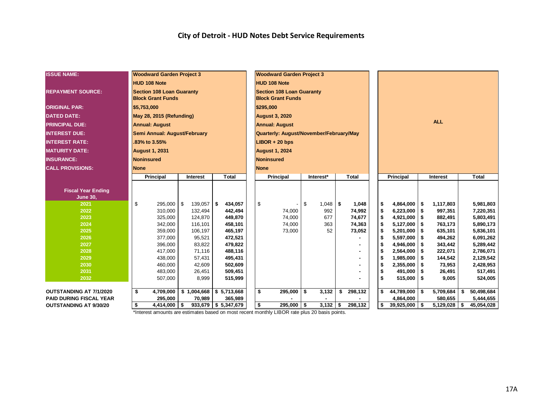| <b>ISSUE NAME:</b>             |                     | <b>Woodward Garden Project 3</b>                             |  |                 |              |                        |  |    | <b>Woodward Garden Project 3</b>                             |      |            |               |                  |                 |      |                |    |              |
|--------------------------------|---------------------|--------------------------------------------------------------|--|-----------------|--------------|------------------------|--|----|--------------------------------------------------------------|------|------------|---------------|------------------|-----------------|------|----------------|----|--------------|
|                                | <b>HUD 108 Note</b> |                                                              |  |                 |              |                        |  |    | <b>HUD 108 Note</b>                                          |      |            |               |                  |                 |      |                |    |              |
| <b>REPAYMENT SOURCE:</b>       |                     | <b>Section 108 Loan Guaranty</b><br><b>Block Grant Funds</b> |  |                 |              |                        |  |    | <b>Section 108 Loan Guaranty</b><br><b>Block Grant Funds</b> |      |            |               |                  |                 |      |                |    |              |
| <b>ORIGINAL PAR:</b>           | \$5,753,000         |                                                              |  |                 |              |                        |  |    | \$295,000                                                    |      |            |               |                  |                 |      |                |    |              |
| <b>DATED DATE:</b>             |                     | May 28, 2015 (Refunding)                                     |  |                 |              |                        |  |    | <b>August 3, 2020</b>                                        |      |            |               |                  |                 |      |                |    |              |
| <b>PRINCIPAL DUE:</b>          |                     | <b>Annual: August</b>                                        |  |                 |              |                        |  |    | <b>Annual: August</b>                                        |      |            |               |                  |                 |      | <b>ALL</b>     |    |              |
| <b>INTEREST DUE:</b>           |                     | Semi Annual: August/February                                 |  |                 |              |                        |  |    | Quarterly: August/November/February/May                      |      |            |               |                  |                 |      |                |    |              |
| <b>INTEREST RATE:</b>          |                     | .83% to 3.55%                                                |  |                 |              |                        |  |    | $LIBOR + 20$ bps                                             |      |            |               |                  |                 |      |                |    |              |
| <b>MATURITY DATE:</b>          |                     | <b>August 1, 2031</b>                                        |  |                 |              |                        |  |    | <b>August 1, 2024</b>                                        |      |            |               |                  |                 |      |                |    |              |
| <b>INSURANCE:</b>              |                     | <b>Noninsured</b>                                            |  |                 |              |                        |  |    | <b>Noninsured</b>                                            |      |            |               |                  |                 |      |                |    |              |
| <b>CALL PROVISIONS:</b>        | <b>None</b>         |                                                              |  |                 |              |                        |  |    | <b>None</b>                                                  |      |            |               |                  |                 |      |                |    |              |
|                                |                     | <b>Principal</b>                                             |  | <b>Interest</b> |              | <b>Total</b>           |  |    | Principal                                                    |      | Interest*  | <b>Total</b>  | <b>Principal</b> |                 |      | Interest       |    | <b>Total</b> |
|                                |                     |                                                              |  |                 |              |                        |  |    |                                                              |      |            |               |                  |                 |      |                |    |              |
| <b>Fiscal Year Ending</b>      |                     |                                                              |  |                 |              |                        |  |    |                                                              |      |            |               |                  |                 |      |                |    |              |
| <b>June 30,</b><br>2021        | \$                  | 295,000 \$                                                   |  | 139,057         | $\mathsf{I}$ | 434,057                |  | \$ |                                                              | - \$ | $1,048$ \$ | 1,048         | \$               | 4,864,000       | l \$ | 1,117,803      |    | 5,981,803    |
| 2022                           |                     | 310,000                                                      |  | 132,494         |              | 442,494                |  |    | 74,000                                                       |      | 992        | 74,992        | \$               | 6,223,000       | \$   | 997,351        |    | 7,220,351    |
| 2023                           |                     | 325,000                                                      |  | 124,870         |              | 449,870                |  |    | 74,000                                                       |      | 677        | 74,677        | \$               | 4,921,000       | \$   | 882,491        |    | 5,803,491    |
| 2024                           |                     | 342,000                                                      |  | 116,101         |              | 458,101                |  |    | 74,000                                                       |      | 363        | 74,363        | \$               | 5,127,000       | \$   | 763,173        |    | 5,890,173    |
| 2025                           |                     | 359,000                                                      |  | 106,197         |              | 465,197                |  |    | 73,000                                                       |      | 52         | 73,052        | \$               | 5,201,000       | \$   | 635,101        |    | 5,836,101    |
| 2026                           |                     | 377,000                                                      |  | 95,521          |              | 472,521                |  |    |                                                              |      |            |               | \$               | 5,597,000       | \$   | 494,262        |    | 6,091,262    |
| 2027                           |                     | 396,000                                                      |  | 83,822          |              | 479,822                |  |    |                                                              |      |            |               | \$               | 4,946,000       | \$   | 343,442        |    | 5,289,442    |
| 2028                           |                     | 417,000                                                      |  | 71,116          |              | 488,116                |  |    |                                                              |      |            |               | \$               | 2,564,000       | \$   | 222,071        |    | 2,786,071    |
| 2029                           |                     | 438,000                                                      |  | 57,431          |              | 495,431                |  |    |                                                              |      |            |               | \$               | 1,985,000       | \$   | 144,542        |    | 2,129,542    |
| 2030                           |                     | 460,000                                                      |  | 42,609          |              | 502,609                |  |    |                                                              |      |            |               | \$               | 2,355,000       | \$   | 73,953         |    | 2,428,953    |
| 2031                           |                     | 483,000                                                      |  | 26,451          |              | 509,451                |  |    |                                                              |      |            |               | \$               | 491,000         | \$   | 26,491         |    | 517,491      |
| 2032                           |                     | 507,000                                                      |  | 8,999           |              | 515,999                |  |    |                                                              |      |            |               | \$               | $515,000$ \$    |      | 9,005          |    | 524,005      |
|                                |                     |                                                              |  |                 |              |                        |  |    |                                                              |      |            |               |                  |                 |      |                |    |              |
| <b>OUTSTANDING AT 7/1/2020</b> | \$                  | 4,709,000                                                    |  | \$1,004,668     |              | \$5,713,668            |  | \$ | 295,000                                                      | \$   | 3,132      | \$<br>298,132 | \$               | 44,789,000      | - \$ | 5,709,684      | Ŝ. | 50,498,684   |
| <b>PAID DURING FISCAL YEAR</b> |                     | 295,000                                                      |  | 70,989          |              | 365,989                |  |    |                                                              |      |            |               |                  | 4,864,000       |      | 580,655        |    | 5,444,655    |
| <b>OUTSTANDING AT 9/30/20</b>  | \$                  | $4,414,000$ \$                                               |  |                 |              | $933,679$ \$ 5,347,679 |  | \$ | $295,000$ \$                                                 |      | $3,132$ \$ | 298,132       | \$               | $39,925,000$ \$ |      | $5,129,028$ \$ |    | 45,054,028   |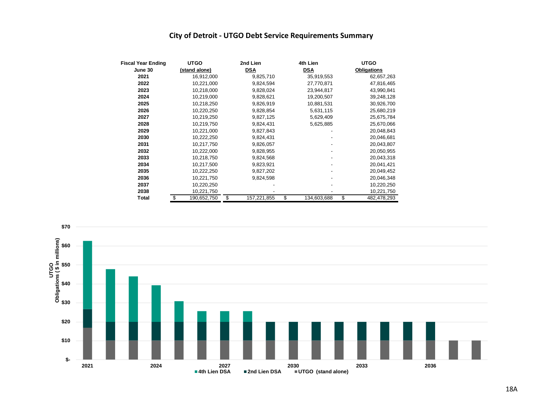#### **City of Detroit - UTGO Debt Service Requirements Summary**

| <b>Fiscal Year Ending</b> | <b>UTGO</b>       | 2nd Lien          | 4th Lien          | <b>UTGO</b>        |
|---------------------------|-------------------|-------------------|-------------------|--------------------|
| June 30                   | (stand alone)     | <b>DSA</b>        | <b>DSA</b>        | <b>Obligations</b> |
| 2021                      | 16,912,000        | 9,825,710         | 35,919,553        | 62,657,263         |
| 2022                      | 10,221,000        | 9,824,594         | 27,770,871        | 47,816,465         |
| 2023                      | 10,218,000        | 9,828,024         | 23,944,817        | 43,990,841         |
| 2024                      | 10,219,000        | 9,828,621         | 19,200,507        | 39,248,128         |
| 2025                      | 10,218,250        | 9,826,919         | 10,881,531        | 30,926,700         |
| 2026                      | 10,220,250        | 9,828,854         | 5,631,115         | 25,680,219         |
| 2027                      | 10,219,250        | 9,827,125         | 5,629,409         | 25,675,784         |
| 2028                      | 10,219,750        | 9,824,431         | 5,625,885         | 25,670,066         |
| 2029                      | 10,221,000        | 9,827,843         |                   | 20,048,843         |
| 2030                      | 10,222,250        | 9,824,431         |                   | 20,046,681         |
| 2031                      | 10,217,750        | 9,826,057         |                   | 20,043,807         |
| 2032                      | 10,222,000        | 9,828,955         |                   | 20,050,955         |
| 2033                      | 10,218,750        | 9,824,568         |                   | 20,043,318         |
| 2034                      | 10,217,500        | 9,823,921         |                   | 20,041,421         |
| 2035                      | 10,222,250        | 9,827,202         |                   | 20,049,452         |
| 2036                      | 10,221,750        | 9,824,598         |                   | 20,046,348         |
| 2037                      | 10,220,250        |                   |                   | 10,220,250         |
| 2038                      | 10,221,750        |                   |                   | 10,221,750         |
| <b>Total</b>              | \$<br>190,652,750 | \$<br>157,221,855 | \$<br>134,603,688 | \$<br>482,478,293  |